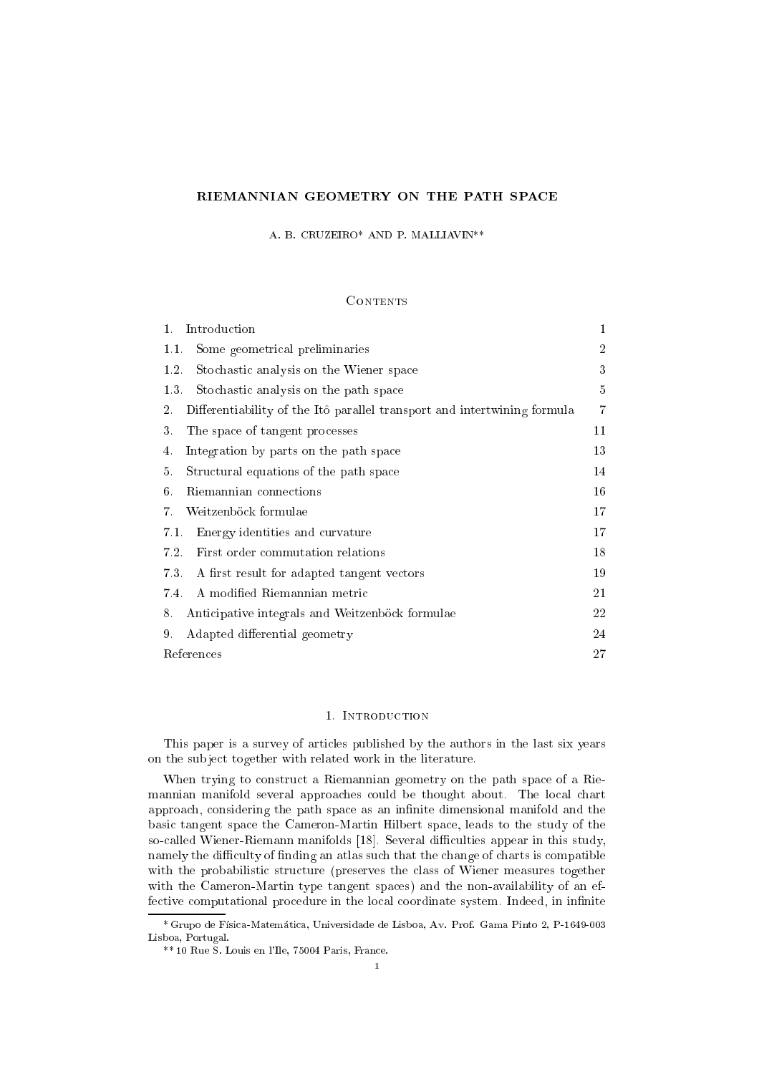# RIEMANNIAN GEOMETRY ON THE PATH SPACE

A. B. CRUZEIRO\* AND P. MALLIAVIN\*\*

## **CONTENTS**

| Introduction<br>1.                                                             | 1              |
|--------------------------------------------------------------------------------|----------------|
| Some geometrical preliminaries<br>1.1.                                         | $\overline{2}$ |
| Stochastic analysis on the Wiener space<br>1.2.                                | 3              |
| 1.3.<br>Stochastic analysis on the path space                                  | 5              |
| Differentiability of the Itô parallel transport and intertwining formula<br>2. | 7              |
| 3.<br>The space of tangent processes                                           | 11             |
| Integration by parts on the path space<br>4.                                   | 13             |
| 5.<br>Structural equations of the path space                                   | 14             |
| Riemannian connections<br>6.                                                   | 16             |
| Weitzenböck formulae<br>7.                                                     | 17             |
| Energy identities and curvature<br>7.1.                                        | 17             |
| 7.2.<br>First order commutation relations                                      | 18             |
| 7.3. A first result for adapted tangent vectors                                | 19             |
| A modified Riemannian metric<br>7.4.                                           | 21             |
| Anticipative integrals and Weitzenböck formulae<br>8.                          | 22             |
| Adapted differential geometry<br>9.                                            | 24             |
| <b>References</b>                                                              | 27             |

#### 1. INTRODUCTION

This paper is a survey of articles published by the authors in the last six years on the subject together with related work in the literature.

When trying to construct a Riemannian geometry on the path space of a Riemannian manifold several approaches could be thought about. The local chart approach, considering the path space as an infinite dimensional manifold and the basi tangent spa
e the Cameron-Martin Hilbert spa
e, leads to the study of the so-called Wiener-Riemann manifolds [18]. Several difficulties appear in this study, namely the difficulty of finding an atlas such that the change of charts is compatible with the probabilistic structure (preserves the class of Wiener measures together with the Cameron-Martin type tangent spaces) and the non-availability of an effective computational procedure in the local coordinate system. Indeed, in infinite

<sup>\*</sup> Grupo de Fsi
a-Matemati
a, Universidade de Lisboa, Av. Prof. Gama Pinto 2, P-1649-003 Lisboa, Portugal.

<sup>\*\* 10</sup> Rue S. Louis en l'Ile, 75004 Paris, Fran
e.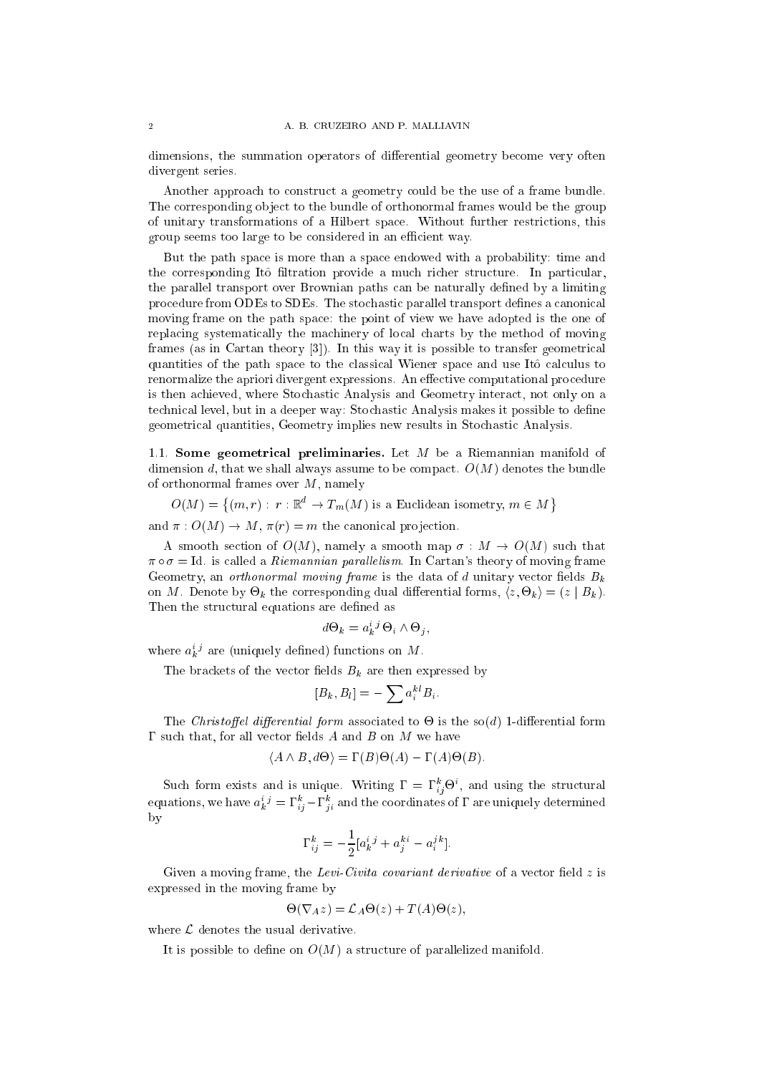dimensions, the summation operators of differential geometry become very often divergent series.

Another approach to construct a geometry could be the use of a frame bundle. The corresponding object to the bundle of orthonormal frames would be the group of unitary transformations of a Hilbert spa
e. Without further restri
tions, this group seems too large to be considered in an efficient way.

But the path spa
e is more than a spa
e endowed with a probability: time and the corresponding Itô filtration provide a much richer structure. In particular, the parallel transport over Brownian paths an be naturally dened by a limiting procedure from ODEs to SDEs. The stochastic parallel transport defines a canonical moving frame on the path spa
e: the point of view we have adopted is the one of repla
ing systemati
ally the ma
hinery of lo
al harts by the method of moving frames (as in Cartan theory  $[3]$ ). In this way it is possible to transfer geometrical quantities of the path space to the classical Wiener space and use Itô calculus to renormalize the apriori divergent expressions. An effective computational procedure is then a
hieved, where Sto
hasti Analysis and Geometry intera
t, not only on a technical level, but in a deeper way: Stochastic Analysis makes it possible to define geometri
al quantities, Geometry implies new results in Sto
hasti Analysis.

1.1. Some geometrical preliminaries. Let  $M$  be a Riemannian manifold of dimension d, that we shall always assume to be compact.  $O(M)$  denotes the bundle of orthonormal frames over  $M$ , namely

 $\sim$   $\sim$   $\sim$   $\sim$   $\sim$  $\{(m,r): r: \mathbb{R}^d \to T_m(M) \text{ is a Euclidean isometry}, m \in M\}$ 

and  $\pi: O(M) \to M$ ,  $\pi(r) = m$  the canonical projection.

A smooth section of  $O(M)$ , namely a smooth map  $\sigma : M \to O(M)$  such that  $\pi \circ \sigma = \text{Id}$  is called a *Riemannian parallelism*. In Cartan's theory of moving frame Geometry, an *orthonormal moving frame* is the data of  $d$  unitary vector fields  $B_k$ on Mercedon by - on the specific forms where the continues of the specific  $\mu$ Then the structural equations are defined as

$$
l\Theta_k = a_k^{i\ j} \Theta_i \wedge \Theta_j,
$$

where  $a_k$  are (uniquely defined) functions on  $M$ .

The brackets of the vector fields  $B_k$  are then expressed by

$$
[B_k, B_l] = -\sum a_i^{k l} B_i.
$$

The Christoel dierential form asso
iated to - is the so(d) 1-dierential form  $\Gamma$  such that, for all vector fields A and B on M we have

$$
\langle A \wedge B, d\Theta \rangle = \Gamma(B)\Theta(A) - \Gamma(A)\Theta(B).
$$

Such form exists and is unique. Writing  $\mathbf{r} = \mathbf{r}_{ij} \boldsymbol{\Theta}$ , and using the structural equations, we have  $a_k^j \equiv 1$   $i_i^j - 1$   $i_i$  and the coordinates of  $1$  are uniquely determined by

$$
\Gamma_{ij}^{k} = -\frac{1}{2} [a_k^{i}{}^{j} + a_j^{k}{}^{i} - a_i^{j}{}^{k}].
$$

Given a moving frame, the Levi-Civita covariant derivative of a vector field  $z$  is expressed in the moving frame by

$$
\Theta(\nabla_A z) = \mathcal{L}_A \Theta(z) + T(A) \Theta(z),
$$

where  $\mathcal L$  denotes the usual derivative.

It is possible to define on  $O(M)$  a structure of parallelized manifold.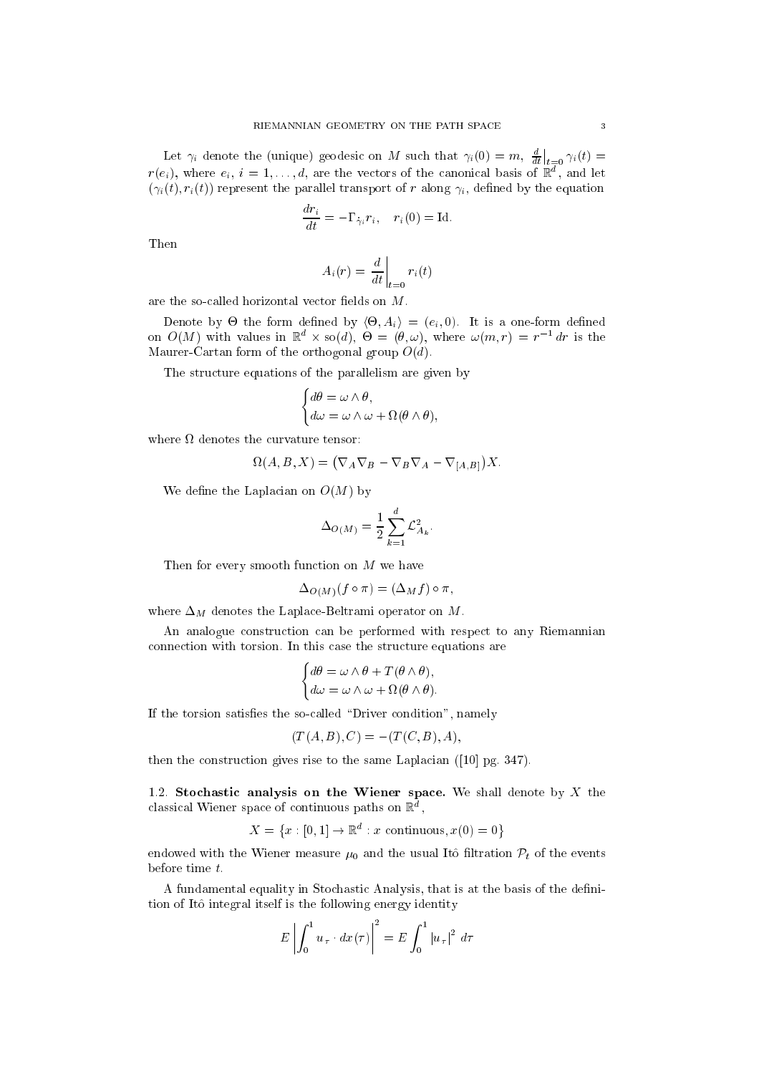Let  $\gamma_i$  denote the (unique) geodesic on M such that  $\gamma_i(0) = m$ ,  $\frac{d}{dt}$  $\Big|_{t=0} \gamma_i(t) =$  $r(e_i)$ , where  $e_i$ ,  $i = 1, \ldots, a$ , are the vectors of the canonical basis of  $\mathbb{R}$  , and let  $(\gamma_i(t), r_i(t))$  represent the parallel transport of r along  $\gamma_i$ , defined by the equation

$$
\frac{dr_i}{dt} = -\Gamma_{\dot{\gamma}_i} r_i, \quad r_i(0) = \text{Id}.
$$

Then

$$
A_i(r) = \left. \frac{d}{dt} \right|_{t=0} r_i(t)
$$

are the so-called horizontal vector fields on  $M$ .

 $\mathcal{L}$  , and denote by the form definition of  $\mathcal{L} = \{e_1, e_2, \ldots, e_n\}$ on  $O(M)$  with values in  $\mathbb{R}^d \times so(d)$ ,  $\Theta = (\theta, \omega)$ , where  $\omega(m, r) = r^{-1} dr$  is the Maurer-Cartan form of the orthogonal group  $O(d)$ .

The structure equations of the parallelism are given by

$$
\begin{cases}\nd\theta = \omega \wedge \theta, \\
d\omega = \omega \wedge \omega + \Omega(\theta \wedge \theta),\n\end{cases}
$$

$$
\Omega(A, B, X) = (\nabla_A \nabla_B - \nabla_B \nabla_A - \nabla_{[A, B]}) X.
$$

We define the Laplacian on  $O(M)$  by

$$
\Delta_{O(M)} = \frac{1}{2} \sum_{k=1}^{d} \mathcal{L}_{A_k}^2
$$

Then for every smooth function on  $M$  we have

$$
\Delta_{O(M)}(f \circ \pi) = (\Delta_M f) \circ \pi,
$$

where  $\Delta_M$  denotes the Laplace-Beltrami operator on M.

 $\sim$ 

An analogue construction can be performed with respect to any Riemannian connection with torsion. In this case the structure equations are

$$
\begin{cases}\nd\theta = \omega \wedge \theta + T(\theta \wedge \theta), \\
d\omega = \omega \wedge \omega + \Omega(\theta \wedge \theta).\n\end{cases}
$$

If the torsion satisfies the so-called "Driver condition", namely

$$
(T(A,B),C) = -(T(C,B),A),
$$

then the construction gives rise to the same Laplacian  $(10|$  pg. 347).

1.2. Stochastic analysis on the Wiener space. We shall denote by  $X$  the ciassical wiener space of continuous paths on  $\mathbb R$  ,

$$
X = \{x : [0,1] \to \mathbb{R}^d : x \text{ continuous}, x(0) = 0\}
$$

endowed with the Wiener measure  $\mu_0$  and the usual Itô filtration  $\mathcal{P}_t$  of the events before time t.

A fundamental equality in Stochastic Analysis, that is at the basis of the definition of Itô integral itself is the following energy identity

$$
E\left|\int_0^1 u_\tau \cdot dx(\tau)\right|^2 = E\int_0^1 |u_\tau|^2 d\tau
$$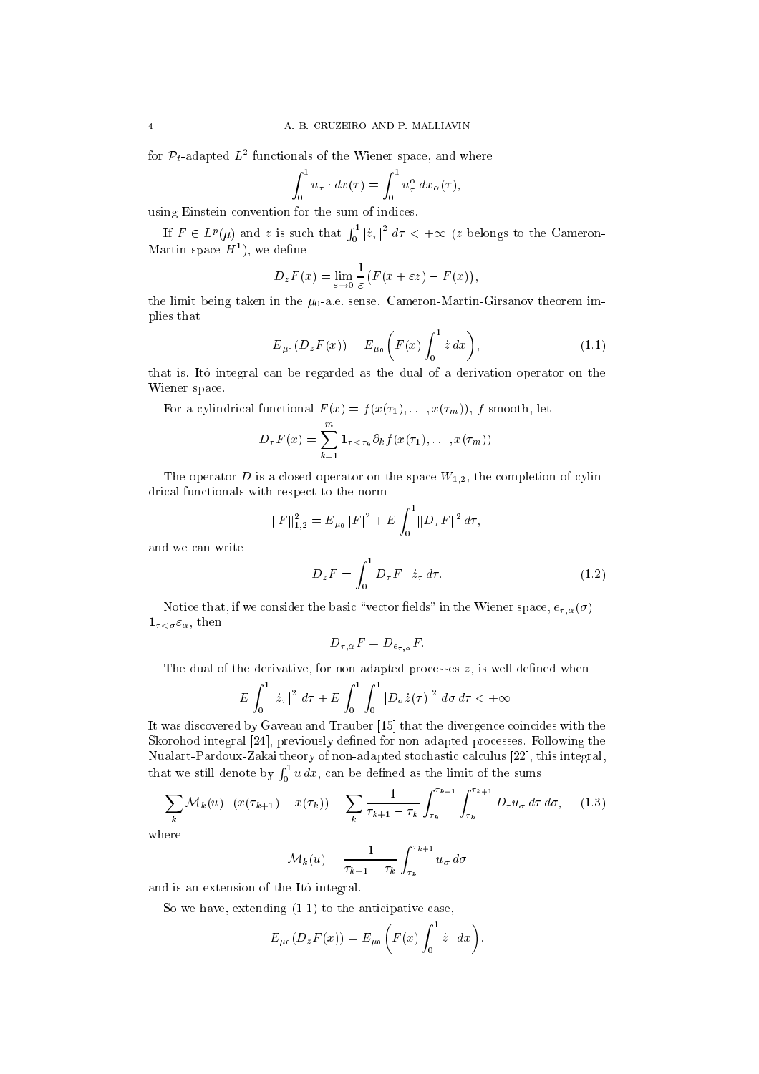for  $\mathcal{P}_t$ -adapted  $L^2$  functionals of the Wiener space, and where

$$
\int_0^1 u_\tau \cdot dx(\tau) = \int_0^1 u_\tau^\alpha dx_\alpha(\tau),
$$

using Einstein onvention for the sum of indi
es.

If  $F \in L^p(u)$  and z is such that  $\int_0^1$  $\int_0^1 |z_\tau|^2\;d\tau < +\infty$  (z belongs to the Cameron-Martin space  $H^1$ ), we define

$$
D_z F(x) = \lim_{\varepsilon \to 0} \frac{1}{\varepsilon} \big( F(x + \varepsilon z) - F(x) \big),
$$

the limit being taken in the  $\mu_0$ -a.e. sense. Cameron-Martin-Girsanov theorem implies that

$$
E_{\mu_0}(D_z F(x)) = E_{\mu_0}\left(F(x) \int_0^1 \dot{z} \, dx\right),\tag{1.1}
$$

that is, Itô integral can be regarded as the dual of a derivation operator on the Wiener spa
e.

For a cylindrical functional  $F(x) = f(x(\tau_1), \ldots, x(\tau_m))$ , f smooth, let

$$
D_{\tau}F(x) = \sum_{k=1}^{m} \mathbf{1}_{\tau < \tau_k} \partial_k f(x(\tau_1), \dots, x(\tau_m)).
$$

The operator D is a closed operator on the space  $W_{1,2}$ , the completion of cylindrical functionals with respect to the norm

$$
||F||_{1,2}^{2} = E_{\mu_{0}} |F|^{2} + E \int_{0}^{1} ||D_{\tau}F||^{2} d\tau,
$$

and we an write

$$
D_z F = \int_0^1 D_\tau F \cdot \dot{z}_\tau \, d\tau. \tag{1.2}
$$

Notice that, if we consider the basic "vector fields" in the Wiener space,  $e_{\tau,\alpha}(\sigma)$  =  $\mathbf{1}_{\tau < \sigma} \varepsilon_{\alpha}$ , then

$$
D_{\tau,\alpha}F = D_{e_{\tau,\alpha}}F.
$$

The dual of the derivative, for non adapted processes  $z$ , is well defined when

$$
E\int_0^1 |\dot{z}_\tau|^2 \, d\tau + E\int_0^1 \int_0^1 |D_\sigma \dot{z}(\tau)|^2 \, d\sigma \, d\tau < +\infty.
$$

It was discovered by Gaveau and Trauber [15] that the divergence coincides with the Skorohod integral [24], previously defined for non-adapted processes. Following the Nualart-Pardoux-Zakai theory of non-adapted stochastic calculus [22], this integral, that we still denote by the still denote by the still denote by the still denote by the still denote by the st  $\sim$  1  $<sub>0</sub>$  a as, can be defined as the limit of the sums</sub>

$$
\sum_{k} \mathcal{M}_{k}(u) \cdot (x(\tau_{k+1}) - x(\tau_{k})) - \sum_{k} \frac{1}{\tau_{k+1} - \tau_{k}} \int_{\tau_{k}}^{\tau_{k+1}} \int_{\tau_{k}}^{\tau_{k+1}} D_{\tau} u_{\sigma} d\tau d\sigma, \quad (1.3)
$$

where

$$
\mathcal{M}_k(u) = \frac{1}{\tau_{k+1} - \tau_k} \int_{\tau_k}^{\tau_{k+1}} u_{\sigma} d\sigma
$$

and is an extension of the Itô integral.

So we have, extending  $(1.1)$  to the anticipative case,

$$
E_{\mu_0}(D_z F(x)) = E_{\mu_0}\bigg(F(x)\int_0^1 \dot{z}\cdot dx\bigg).
$$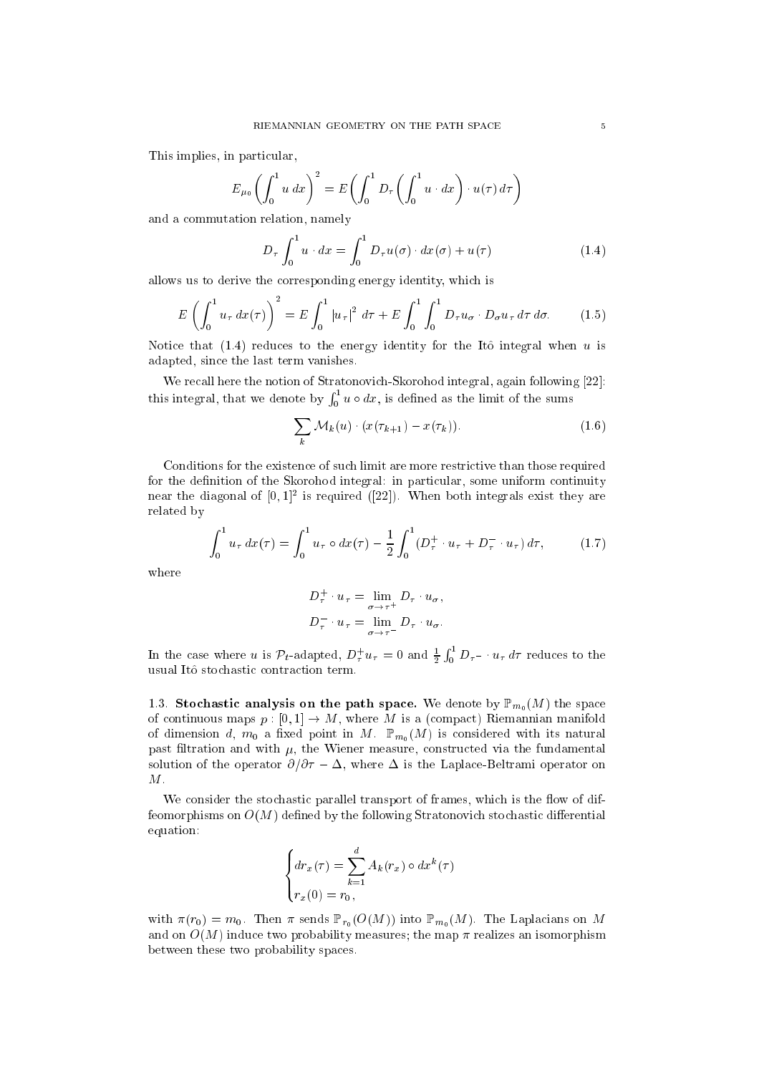This implies, in particular,

$$
E_{\mu_0}\left(\int_0^1 u\,dx\right)^2 = E\left(\int_0^1 D_\tau \left(\int_0^1 u\cdot dx\right)\cdot u(\tau)\,d\tau\right)
$$

and a ommutation relation, namely

$$
D_{\tau} \int_0^1 u \cdot dx = \int_0^1 D_{\tau} u(\sigma) \cdot dx(\sigma) + u(\tau)
$$
 (1.4)

allows us to derive the orresponding energy identity, whi
h is

$$
E\left(\int_0^1 u_\tau \, dx(\tau)\right)^2 = E\int_0^1 |u_\tau|^2 \, d\tau + E\int_0^1 \int_0^1 D_\tau u_\sigma \cdot D_\sigma u_\tau \, d\tau \, d\sigma. \tag{1.5}
$$

Notice that  $(1.4)$  reduces to the energy identity for the Itô integral when u is adapted, sin
e the last term vanishes.

We recall here the notion of Stratonovich-Skorohod integral, again following [22]: this integral, the denote by denote by denote by  $\mathbf{f}$  $\lceil$   $\lceil$  $0<sup>u</sup>$  and  $\frac{1}{2}$  are defined as the limit of the sums

$$
\sum_{k} \mathcal{M}_{k}(u) \cdot (x(\tau_{k+1}) - x(\tau_{k})). \tag{1.6}
$$

Conditions for the existence of such limit are more restrictive than those required for the definition of the Skorohod integral: in particular, some uniform continuity near the diagonal of  $[0,1]^2$  is required ([22]). When both integrals exist they are related by

$$
\int_0^1 u_\tau \, dx(\tau) = \int_0^1 u_\tau \circ dx(\tau) - \frac{1}{2} \int_0^1 (D_\tau^+ \cdot u_\tau + D_\tau^- \cdot u_\tau) \, d\tau, \tag{1.7}
$$

where

$$
D_{\tau}^{+} \cdot u_{\tau} = \lim_{\sigma \to \tau^{+}} D_{\tau} \cdot u_{\sigma},
$$
  

$$
D_{\tau}^{-} \cdot u_{\tau} = \lim_{\sigma \to \tau^{-}} D_{\tau} \cdot u_{\sigma}.
$$

In the case where u is  $\mathcal{P}_t$ -adapted,  $D^+_\tau u_\tau = 0$  and  $\frac{1}{2} \int_0^1$  $0 \nu_7$  we reduce to the usual Itô stochastic contraction term.

1.3. Stochastic analysis on the path space. We denote by  $\mathbb{P}_{m_0}(M)$  the space of continuous maps  $p: [0,1] \to M$ , where M is a (compact) Riemannian manifold of dimension d,  $m_0$  a fixed point in M.  $\mathbb{P}_{m_0}(M)$  is considered with its natural past filtration and with  $\mu$ , the Wiener measure, constructed via the fundamental solution of the operator  $\partial/\partial \tau - \Delta$ , where  $\Delta$  is the Laplace-Beltrami operator on M.

We consider the stochastic parallel transport of frames, which is the flow of diffeomorphisms on  $O(M)$  defined by the following Stratonovich stochastic differential equation:

$$
\begin{cases} dr_x(\tau) = \sum_{k=1}^d A_k(r_x) \circ dx^k(\tau) \\ r_x(0) = r_0, \end{cases}
$$

with  $\pi(r_0) = m_0$ . Then  $\pi$  sends  $\mathbb{P}_{r_0}(O(M))$  into  $\mathbb{P}_{m_0}(M)$ . The Laplacians on M and on  $O(M)$  induce two probability measures; the map  $\pi$  realizes an isomorphism between these two probability spa
es.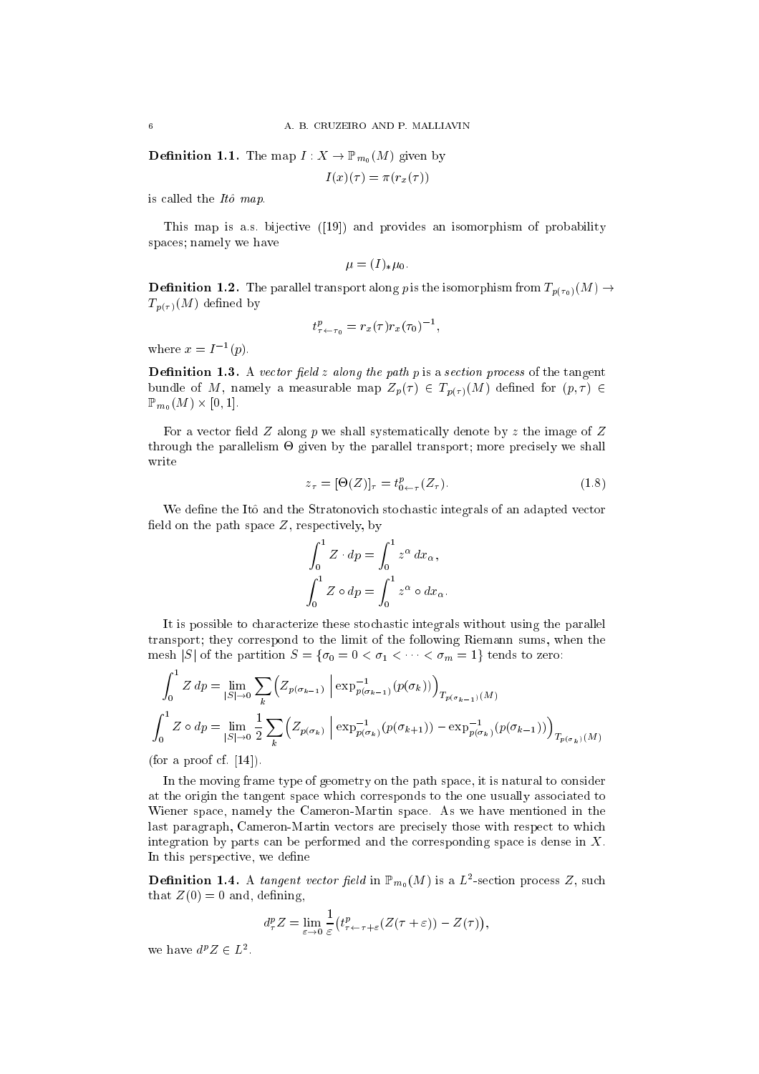**Definition 1.1.** The map  $I: X \to \mathbb{P}_{m_0}(M)$  given by

$$
I(x)(\tau) = \pi(r_x(\tau))
$$

is called the  $It\hat{o}$  map.

This map is a.s. bijective  $([19])$  and provides an isomorphism of probability spa
es; namely we have

$$
\mu = (I)_*\mu_0.
$$

**Definition 1.2.** The parallel transport along p is the isomorphism from  $T_{p(\tau_0)}(M) \rightarrow$  $T_{p(\tau)}(M)$  defined by

$$
t^p_{\tau \leftarrow \tau_0} = r_x(\tau) r_x(\tau_0)^{-1},
$$

where  $x = I^{-1}(p)$ .

**Definition 1.3.** A vector field z along the path p is a section process of the tangent bundle of M, namely a measurable map  $Z_p(\tau) \in T_{p(\tau)}(M)$  defined for  $(p, \tau) \in$  $P\cup V$   $\cup$   $\cup$   $\cup$   $\cup$   $\cup$ 

For a vector field  $Z$  along  $p$  we shall systematically denote by  $z$  the image of  $Z$ through the parallelism of given by the parallel transport; more present; more present; more present; write

$$
z_{\tau} = [\Theta(Z)]_{\tau} = t_{0 \leftarrow \tau}^p(Z_{\tau}). \tag{1.8}
$$

We define the Itô and the Stratonovich stochastic integrals of an adapted vector field on the path space  $Z$ , respectively, by

$$
\int_0^1 Z \cdot dp = \int_0^1 z^{\alpha} dx_{\alpha},
$$

$$
\int_0^1 Z \circ dp = \int_0^1 z^{\alpha} \circ dx_{\alpha}.
$$

It is possible to characterize these stochastic integrals without using the parallel transport; they orrespond to the limit of the following Riemann sums, when the mesh |S| of the partition  $S = \{ \sigma_0 = 0 < \sigma_1 < \cdots < \sigma_m = 1 \}$  tends to zero:

$$
\int_0^1 Z \, dp = \lim_{|S| \to 0} \sum_k \left( Z_{p(\sigma_{k-1})} \left( \exp_{p(\sigma_{k-1})}^{-1} (p(\sigma_k)) \right)_{T_{p(\sigma_{k-1})}(M)} \right)
$$
\n
$$
\int_0^1 Z \circ dp = \lim_{|S| \to 0} \frac{1}{2} \sum_k \left( Z_{p(\sigma_k)} \left( \exp_{p(\sigma_k)}^{-1} (p(\sigma_{k+1})) - \exp_{p(\sigma_k)}^{-1} (p(\sigma_{k-1})) \right)_{T_{p(\sigma_k)}(M)} \right)
$$

(for a proof cf.  $[14]$ ).

In the moving frame type of geometry on the path space, it is natural to consider at the origin the tangent spa
e whi
h orresponds to the one usually asso
iated to Wiener spa
e, namely the Cameron-Martin spa
e. As we have mentioned in the last paragraph, Cameron-Martin vectors are precisely those with respect to which integration by parts can be performed and the corresponding space is dense in  $X$ . In this perspective, we define

**Definition 1.4.** A tangent vector field in  $\mathbb{P}_{m_0}(M)$  is a  $L^2$ -section process Z, such that  $Z(0) = 0$  and, defining,

$$
d_{\tau}^p Z = \lim_{\varepsilon \to 0} \frac{1}{\varepsilon} \big( t_{\tau \leftarrow \tau + \varepsilon}^p (Z(\tau + \varepsilon)) - Z(\tau) \big),
$$

we have  $d^p Z \in L^2$ .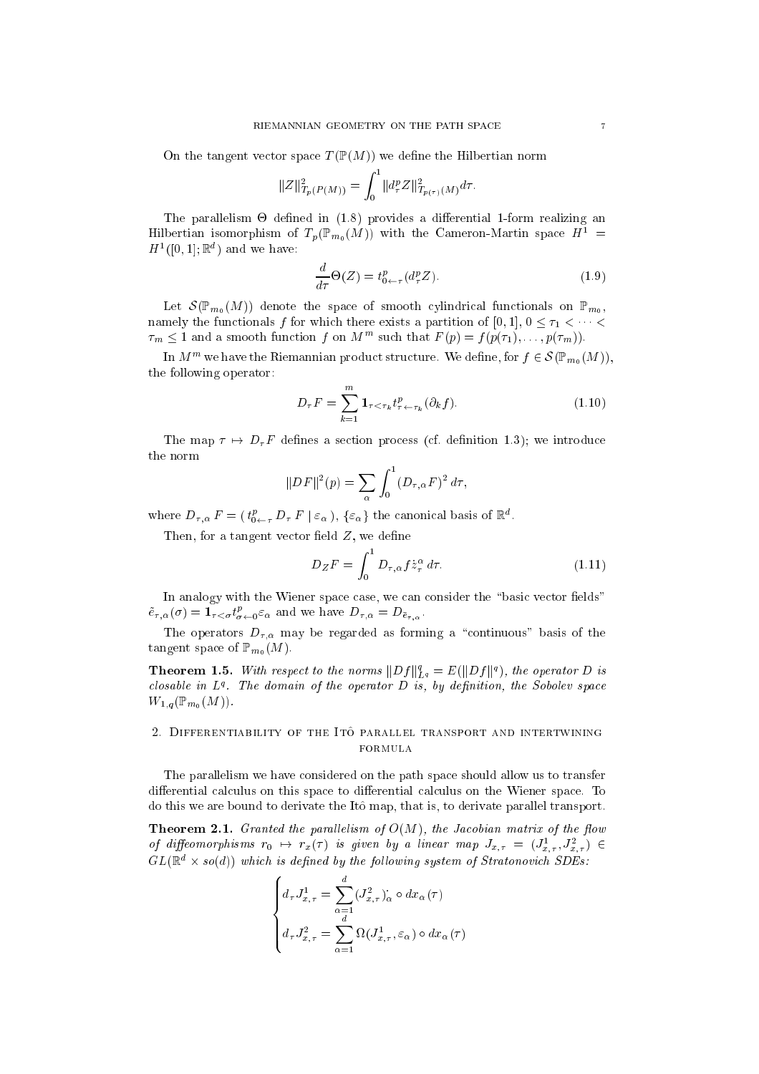On the tangent vector space  $T(\mathbb{P}(M))$  we define the Hilbertian norm

$$
||Z||_{T_p(P(M))}^2 = \int_0^1 ||d_\tau^p Z||_{T_{p(\tau)}(M)}^2 d\tau.
$$

The parallelism - dened in (1.8) provides a dierential 1-form realizing an Hilbertian isomorphism of  $T_p(\mathbb{P}_{m_0}(M))$  with the Cameron-Martin space  $H^1$  =  $H^1([0, 1]; \mathbb{R}^d)$  and we have:

$$
\frac{d}{d\tau}\Theta(Z) = t^p_{0\leftarrow \tau}(d^p_\tau Z). \tag{1.9}
$$

Let  $\mathcal{S}(\mathbb{P}_{m_0}(M))$  denote the space of smooth cylindrical functionals on  $\mathbb{P}_{m_0}$ , namely the functionals f for which there exists a partition of [0, 1],  $0 \leq \tau_1 \leq \cdots \leq$  $\tau_m \leq 1$  and a smooth function form  $M$  is such that  $F(p) \equiv f(p(\tau_1), \ldots, p(\tau_m)).$ 

In  $M^m$  we have the Riemannian product structure. We define, for  $f \in \mathcal{S}(\mathbb{P}_{m_0}(M))$ , the following operator:

$$
D_{\tau}F = \sum_{k=1}^{m} \mathbf{1}_{\tau < \tau_k} t_{\tau \leftarrow \tau_k}^p (\partial_k f). \tag{1.10}
$$

The map  $\tau \mapsto D_{\tau}F$  defines a section process (cf. definition 1.3); we introduce the norm

$$
||DF||^{2}(p) = \sum_{\alpha} \int_{0}^{1} (D_{\tau,\alpha}F)^{2} d\tau,
$$

where  $D_{\tau,\alpha}F = (t_{0 \leftarrow \tau}^* D_{\tau}F \mid \varepsilon_{\alpha})$ ,  $\{\varepsilon_{\alpha}\}\$  the canonical basis of  $\mathbb{R}^{\alpha}$ .

Then, for a tangent vector field  $Z$ , we define

$$
D_Z F = \int_0^1 D_{\tau,\alpha} f \dot{z}_\tau^\alpha d\tau.
$$
 (1.11)

In analogy with the Wiener space case, we can consider the "basic vector fields"  $e_{\tau,\alpha}(\sigma) = \mathbf{1}_{\tau<\sigma} t^{\tau}_{\sigma\leftarrow 0} \varepsilon_{\alpha}$  and we have  $D_{\tau,\alpha} = D_{\bar{e}_{\tau,\alpha}}$ .

The operators  $D_{\tau,\alpha}$  may be regarded as forming a "continuous" basis of the tangent space of  $\mathbb{P}_{m_0}(M)$ .

**Theorem 1.5.** With respect to the norms  $\|Df\|_{L^q}^s = E(\|Df\|^q)$ , the operator D is  $\emph{cous}$  in  $L^4$ . The domain of the operator  $D$  is, by definition, the Sobolev space  $W_{1,q}(\mathbb{P}_{m_0}(M)).$ 

# 2. DIFFERENTIABILITY OF THE ITO PARALLEL TRANSPORT AND INTERTWINING formula

The parallelism we have onsidered on the path spa
e should allow us to transfer differential calculus on this space to differential calculus on the Wiener space. To do this we are bound to derivate the It^o map, that is, to derivate parallel transport.

**Theorem 2.1.** Granted the parallelism of  $O(M)$ , the Jacobian matrix of the flow of diffeomorphisms  $r_0 \mapsto r_x(\tau)$  is given by a linear map  $J_{x,\tau} = (J_{x,\tau}^1, J_{x,\tau}^2) \in$  $GL(\mathbb{R}^+ \times \mathfrak{so}(a))$  which is defined by the following system of Stratonovich SDEs:

$$
\begin{cases} d_{\tau}J_{x,\tau}^{1} = \sum_{\alpha=1}^{d} (J_{x,\tau}^{2})_{\alpha} \circ dx_{\alpha}(\tau) \\ d_{\tau}J_{x,\tau}^{2} = \sum_{\alpha=1}^{d} \Omega(J_{x,\tau}^{1}, \varepsilon_{\alpha}) \circ dx_{\alpha}(\tau) \end{cases}
$$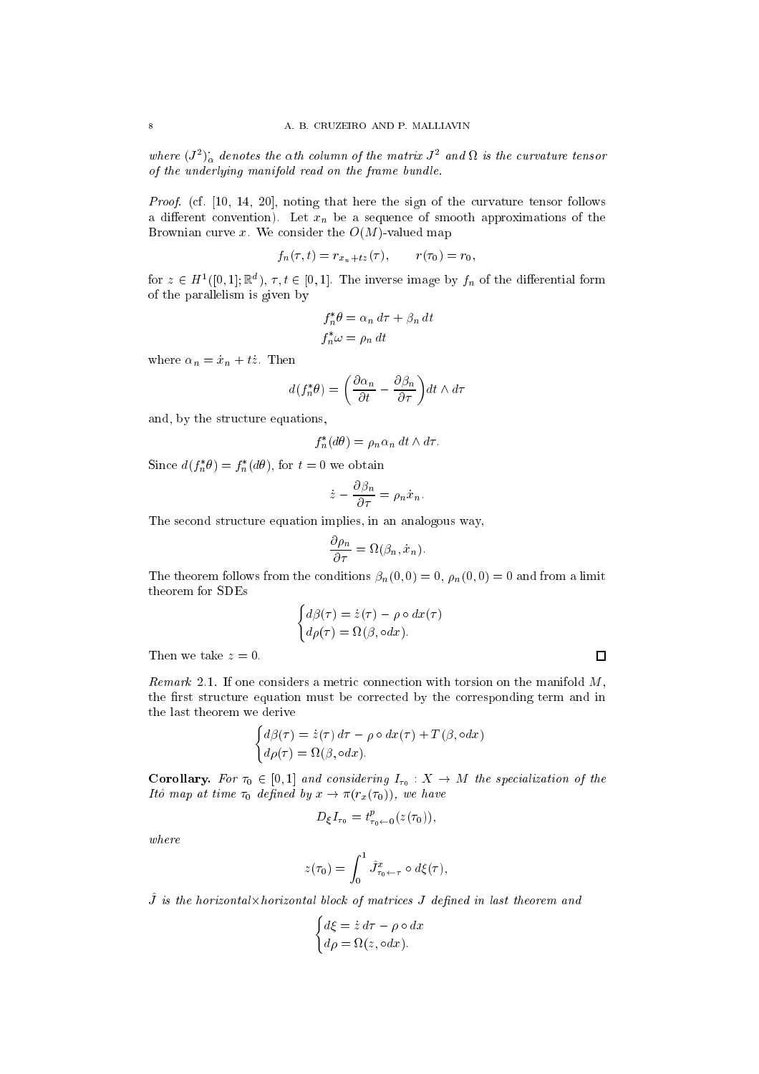where  $(J^2)_{\alpha}$  denotes the  $\alpha$ th column of the matrix  $J^2$  and  $\Omega$  is the curvature tensor of the underlying manifold read on the frame bundle.

Proof. (cf. [10, 14, 20], noting that here the sign of the curvature tensor follows a different convention). Let  $x_n$  be a sequence of smooth approximations of the Brownian curve x. We consider the  $O(M)$ -valued map

$$
f_n(\tau, t) = r_{x_n + tz}(\tau), \qquad r(\tau_0) = r_0,
$$

for  $z \in H^1([0,1]; \mathbb{R}^d)$ ,  $\tau, t \in [0,1]$ . The inverse image by  $f_n$  of the differential form of the parallelism is given by

$$
f_n^* \theta = \alpha_n d\tau + \beta_n dt
$$
  

$$
f_n^* \omega = \rho_n dt
$$

where  $\alpha_n = \dot{x}_n + t\dot{z}$ . Then

$$
d(f_n^*\theta) = \left(\frac{\partial \alpha_n}{\partial t} - \frac{\partial \beta_n}{\partial \tau}\right) dt \wedge d\tau
$$

and, by the stru
ture equations,

$$
f_n^*(d\theta) = \rho_n \alpha_n dt \wedge d\tau.
$$

Since  $a(f_n \sigma) = f_n(a \sigma)$ , for  $t = 0$  we obtain

$$
\dot{z} - \frac{\partial \beta_n}{\partial \tau} = \rho_n \dot{x}_n.
$$

The second structure equation implies, in an analogous way,

$$
\frac{\partial \rho_n}{\partial \tau} = \Omega(\beta_n, \dot{x}_n).
$$

The theorem follows from the conditions  $\beta_n(0,0) = 0$ ,  $\rho_n(0,0) = 0$  and from a limit theorem for SDEs

$$
\begin{cases}\nd\beta(\tau) = \dot{z}(\tau) - \rho \circ dx(\tau) \\
d\rho(\tau) = \Omega(\beta, \circ dx).\n\end{cases}
$$

Then we take  $z=0$ .

Remark 2.1. If one considers a metric connection with torsion on the manifold  $M$ , the first structure equation must be corrected by the corresponding term and in the last theorem we derive

$$
\begin{cases}\nd\beta(\tau) = \dot{z}(\tau) d\tau - \rho \circ dx(\tau) + T(\beta, \circ dx) \\
d\rho(\tau) = \Omega(\beta, \circ dx).\n\end{cases}
$$

**Corollary.** For  $\tau_0 \in [0,1]$  and considering  $I_{\tau_0}: X \to M$  the specialization of the Itô map at time  $\tau_0$  defined by  $x \to \pi(r_x(\tau_0))$ , we have

$$
D_{\xi}I_{\tau_0} = t_{\tau_0 \leftarrow 0}^p(z(\tau_0)),
$$

where

$$
z(\tau_0) = \int_0^1 \hat{J}^x_{\tau_0 \leftarrow \tau} \circ d\xi(\tau),
$$

 $J$  is the horizontal knot izontal viole of matrices  $J$  defined in last theorem and

$$
\begin{cases} d\xi = \dot{z} d\tau - \rho \circ dx \\ d\rho = \Omega(z, \circ dx). \end{cases}
$$

$$
\sqcup
$$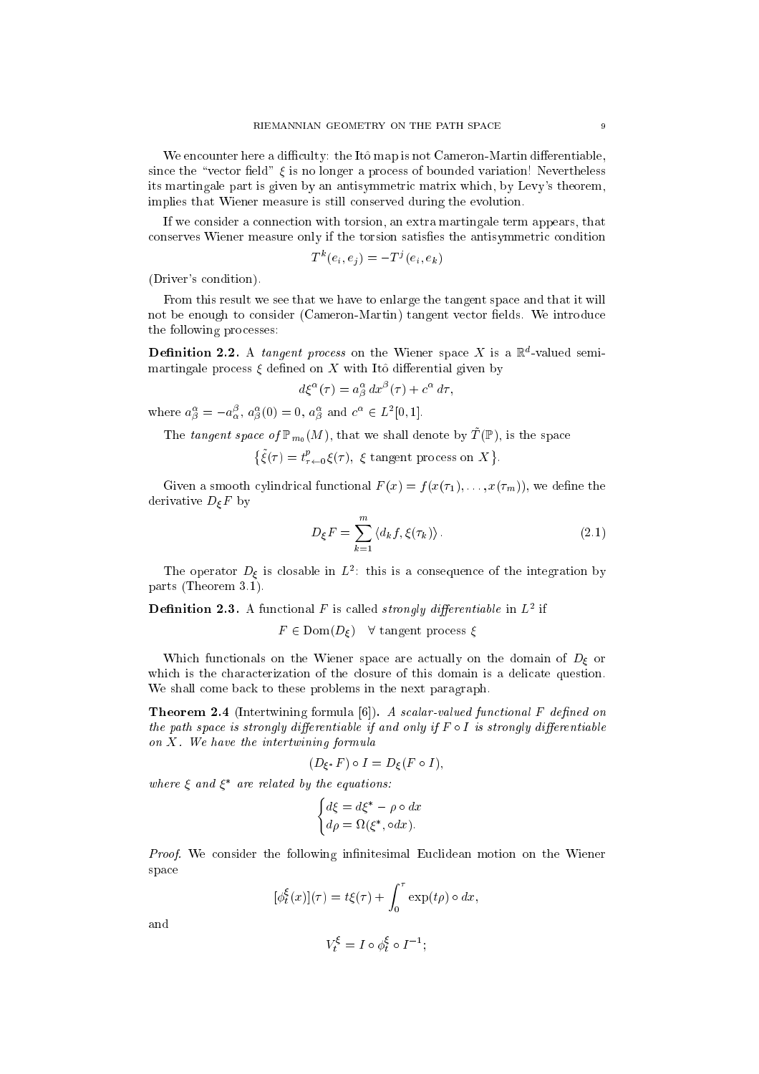We encounter here a difficulty: the Itô map is not Cameron-Martin differentiable, since the "vector field"  $\xi$  is no longer a process of bounded variation! Nevertheless its martingale part is given by an antisymmetri matrix whi
h, by Levy's theorem, implies that Wiener measure is still onserved during the evolution.

If we onsider a onne
tion with torsion, an extra martingale term appears, that conserves Wiener measure only if the torsion satisfies the antisymmetric condition

$$
T^k(e_i, e_j) = -T^j(e_i, e_k)
$$

(Driver's ondition).

From this result we see that we have to enlarge the tangent spa
e and that it will not be enough to consider (Cameron-Martin) tangent vector fields. We introduce the following pro
esses:

**Definition 2.2.** A *tangent process* on the wiener space  $\Lambda$  is a  $\mathbb{R}$  -valued semimartingale process  $\xi$  defined on  $X$  with Itô differential given by

$$
d\xi^{\alpha}(\tau) = a^{\alpha}_{\beta} dx^{\beta}(\tau) + c^{\alpha} d\tau,
$$

where  $a_{\beta}^{\alpha} = -a_{\alpha}^{\beta}, a_{\beta}^{\alpha}(0) = 0, a_{\beta}^{\alpha}$  and  $c^{\alpha} \in L^2[0,1].$ 

The tangent space of  $\mathbb{P}_{m_0}(M)$ , that we shall denote by  $\tilde{T}(\mathbb{P})$ , is the space

 $\{\xi(\tau) = t^p_{\tau \leftarrow 0} \xi(\tau), \xi \text{ tangent process on } X\}$ 

Given a smooth cylindrical functional  $F(x) = f(x(\tau_1), \ldots, x(\tau_m))$ , we define the derivative  $D_{\xi}F$  by

$$
D_{\xi}F = \sum_{k=1}^{m} \langle d_k f, \xi(\tau_k) \rangle.
$$
 (2.1)

The operator  $D_{\xi}$  is closable in  $L^{2}$ : this is a consequence of the integration by parts (Theorem 3.1).

**Definition 2.3.** A functional F is called *strongly differentiable* in  $L^2$  if

 $F \in \text{Dom}(D_{\xi})$   $\forall$  tangent process  $\xi$ 

Which functionals on the Wiener space are actually on the domain of  $D_{\xi}$  or which is the characterization of the closure of this domain is a delicate question. We shall come back to these problems in the next paragraph.

**Theorem 2.4** (Intertwining formula  $[6]$ ). A scalar-valued functional F defined on the path space is strongly differentiable if and only if  $F \circ I$  is strongly differentiable on X. We have the intertwining formula

$$
(D_{\xi^*}F)\circ I=D_{\xi}(F\circ I),
$$

where  $\varepsilon$  and  $\varepsilon$  are retated by the equations:

$$
\begin{cases} d\xi = d\xi^* - \rho \circ dx \\ d\rho = \Omega(\xi^*, \circ dx). \end{cases}
$$

*Proof.* We consider the following infinitesimal Euclidean motion on the Wiener spa
e

$$
[\phi_t^{\xi}(x)](\tau) = t\xi(\tau) + \int_0^{\tau} \exp(t\rho) \circ dx,
$$

and

$$
V_t^\xi = I \circ \phi^\xi_t \circ I^{-1};
$$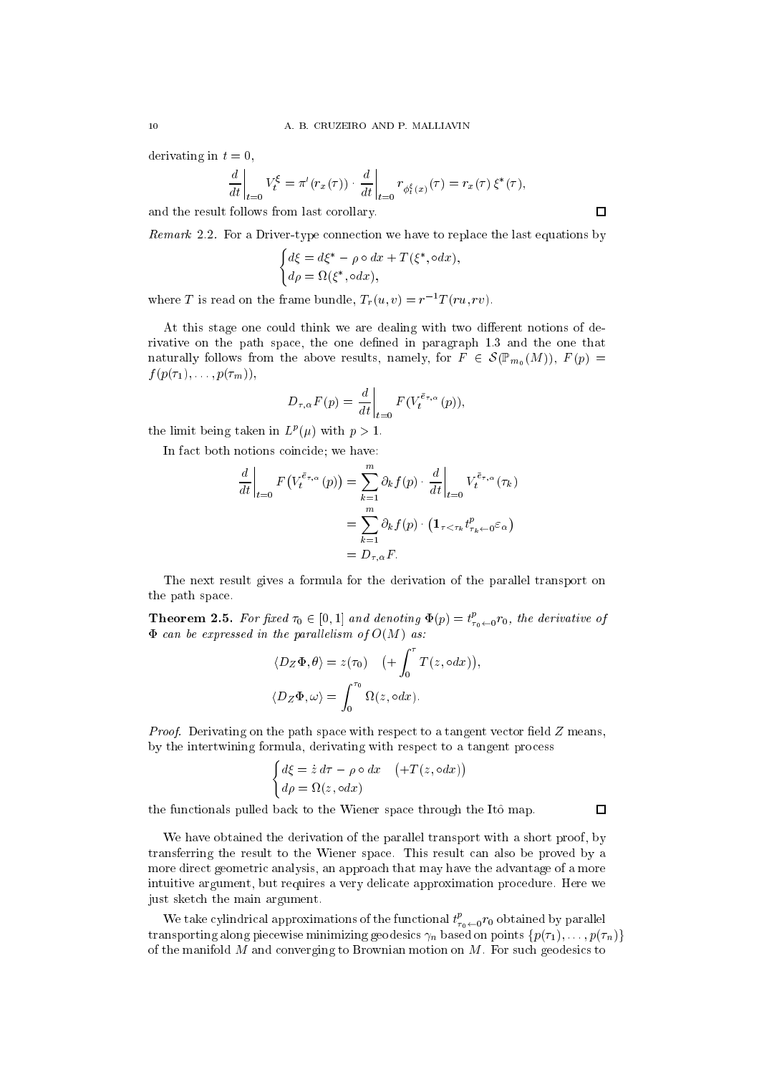derivating in  $t = 0$ ,

$$
\left. \frac{d}{dt} \right|_{t=0} V_t^{\xi} = \pi'(r_x(\tau)) \cdot \left. \frac{d}{dt} \right|_{t=0} r_{\phi_t^{\xi}(x)}(\tau) = r_x(\tau) \xi^*(\tau),
$$

and the result follows from last orollary.

Remark 2.2. For a Driver-type connection we have to replace the last equations by

$$
\begin{cases} d\xi = d\xi^* - \rho \circ dx + T(\xi^*, \circ dx), \\ d\rho = \Omega(\xi^*, \circ dx), \end{cases}
$$

where T is read on the frame bundle,  $T_r(u, v) = r^{-1}T(ru, rv)$ .

At this stage one could think we are dealing with two different notions of derivative on the path space, the one defined in paragraph 1.3 and the one that naturally follows from the above results, namely, for  $F \in \mathcal{S}(\mathbb{P}_{m_0}(M))$ ,  $F(p) =$  $f(p(\tau_1), \ldots, p(\tau_m)),$ 

$$
D_{\tau,\alpha}F(p) = \frac{d}{dt}\bigg|_{t=0} F(V_t^{\tilde{e}_{\tau,\alpha}}(p)),
$$

the limit being taken in  $L^p(\mu)$  with  $p > 1$ .

In fact both notions coincide; we have:

$$
\frac{d}{dt}\Big|_{t=0} F\big(V_t^{\bar{e}_{\tau,\alpha}}(p)\big) = \sum_{k=1}^m \partial_k f(p) \cdot \frac{d}{dt}\Big|_{t=0} V_t^{\bar{e}_{\tau,\alpha}}(\tau_k)
$$

$$
= \sum_{k=1}^m \partial_k f(p) \cdot \left(\mathbf{1}_{\tau < \tau_k} t_{\tau_k \leftarrow 0}^p \varepsilon_\alpha\right)
$$

$$
= D_{\tau,\alpha} F.
$$

The next result gives a formula for the derivation of the parallel transport on the path spa
e.

**Theorem 2.5.** For fixed  $\tau_0 \in [0,1]$  and denoting  $\Phi(p) = t_{\tau_0 \leftarrow 0}^p r_0$ , the derivative of  $\Phi$  can be expressed in the parallelism of  $O(M)$  as:

$$
\langle D_Z \Phi, \theta \rangle = z(\tau_0) \quad \left( + \int_0^{\tau} T(z, \circ dx) \right),
$$
  

$$
\langle D_Z \Phi, \omega \rangle = \int_0^{\tau_0} \Omega(z, \circ dx).
$$

Proof. Derivating on the path space with respect to a tangent vector field  $Z$  means, by the intertwining formula, derivating with respect to a tangent process

$$
\begin{cases} d\xi = \dot{z} d\tau - \rho \circ dx & (+T(z, \circ dx)) \\ d\rho = \Omega(z, \circ dx) \end{cases}
$$

the functionals pulled back to the Wiener space through the Itô map.

We have obtained the derivation of the parallel transport with a short proof, by transferring the result to the Wiener spa
e. This result an also be proved by a more direct geometric analysis, an approach that may have the advantage of a more intuitive argument, but requires a very deli
ate approximation pro
edure. Here we just sket
h the main argument.

We take cylindrical approximations of the functional  $t_{\tau_0 \leftarrow 0}^r r_0$  obtained by parallel transporting along piecewise minimizing geodesics  $\gamma_n$  based on points  $\{p(\tau_1), \ldots, p(\tau_n)\}$ of the manifold  $M$  and converging to Brownian motion on  $M$ . For such geodesics to

 $\Box$ 

 $\Box$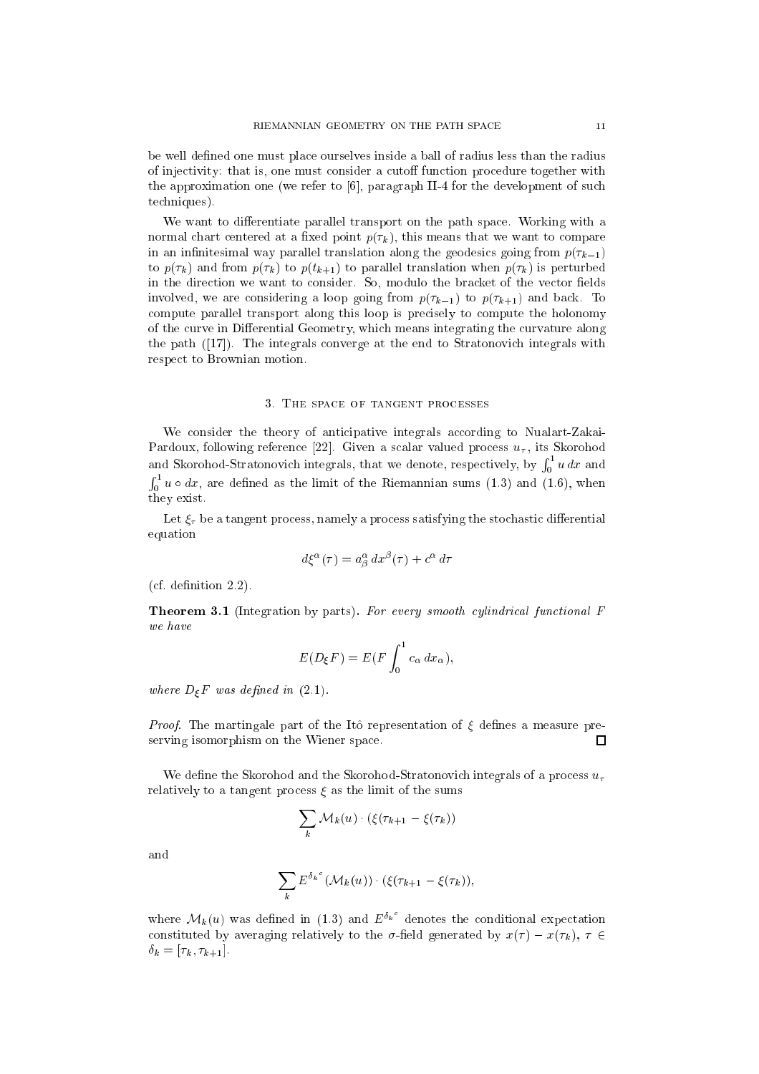be well defined one must place ourselves inside a ball of radius less than the radius of injectivity: that is, one must consider a cutoff function procedure together with the approximation one (we refer to  $[6]$ , paragraph II-4 for the development of such te
hniques).

We want to differentiate parallel transport on the path space. Working with a normal chart centered at a fixed point  $p(\tau_k)$ , this means that we want to compare in an infinitesimal way parallel translation along the geodesics going from  $p(\tau_{k-1})$ to  $p(\tau_k)$  and from  $p(\tau_k)$  to  $p(t_{k+1})$  to parallel translation when  $p(\tau_k)$  is perturbed in the direction we want to consider. So, modulo the bracket of the vector fields involved, we are considering a loop going from  $p(\tau_{k-1})$  to  $p(\tau_{k+1})$  and back. To compute parallel transport along this loop is precisely to compute the holonomy of the curve in Differential Geometry, which means integrating the curvature along the path  $(17)$ . The integrals converge at the end to Stratonovich integrals with respe
t to Brownian motion.

#### 3. THE SPACE OF TANGENT PROCESSES

We consider the theory of anticipative integrals according to Nualart-Zakai-Pardoux, following reference [22]. Given a scalar valued process  $u_{\tau}$ , its Skorohod and Skorohod-Stratonovi
h integrals, that we denote, respe
tively, by  $\lfloor$ r $\lfloor$  $0<sup>u</sup>$  and  $u<sup>u</sup>$  $\sim$  1  $_0$   $\alpha$   $\sim$   $\alpha$  $\omega$ , are defined as the limit of the Riemannian sums  $(1.3)$  and  $(1.5)$ , when they exist.

Let  $\xi_{\tau}$  be a tangent process, namely a process satisfying the stochastic differential equation

$$
d\xi^{\alpha}(\tau) = a^{\alpha}_{\beta} dx^{\beta}(\tau) + c^{\alpha} d\tau
$$

 $(cf. definition 2.2)$ .

**Theorem 3.1** (Integration by parts). For every smooth cylindrical functional  $F$ we have

$$
E(D_{\xi}F) = E(F \int_0^1 c_{\alpha} dx_{\alpha}),
$$

where  $D_{\xi}F$  was defined in (2.1).

*Proof.* The martingale part of the Itô representation of  $\xi$  defines a measure preserving isomorphism on the Wiener spa
e. П

We define the Skorohod and the Skorohod-Stratonovich integrals of a process  $u_{\tau}$ relatively to a tangent process  $\xi$  as the limit of the sums

$$
\sum_{k} \mathcal{M}_{k}(u) \cdot (\xi(\tau_{k+1} - \xi(\tau_{k}))
$$

and

$$
\sum_{k} E^{\delta_k}(\mathcal{M}_k(u)) \cdot (\xi(\tau_{k+1} - \xi(\tau_k)),
$$

where  $\mathcal{M}_k(u)$  was defined in (1.3) and  $E^{o_k}$  denotes the conditional expectation constituted by averaging relatively to the  $\sigma$ -field generated by  $x(\tau) - x(\tau_k)$ ,  $\tau \in$  $\delta_k = [\tau_k, \tau_{k+1}].$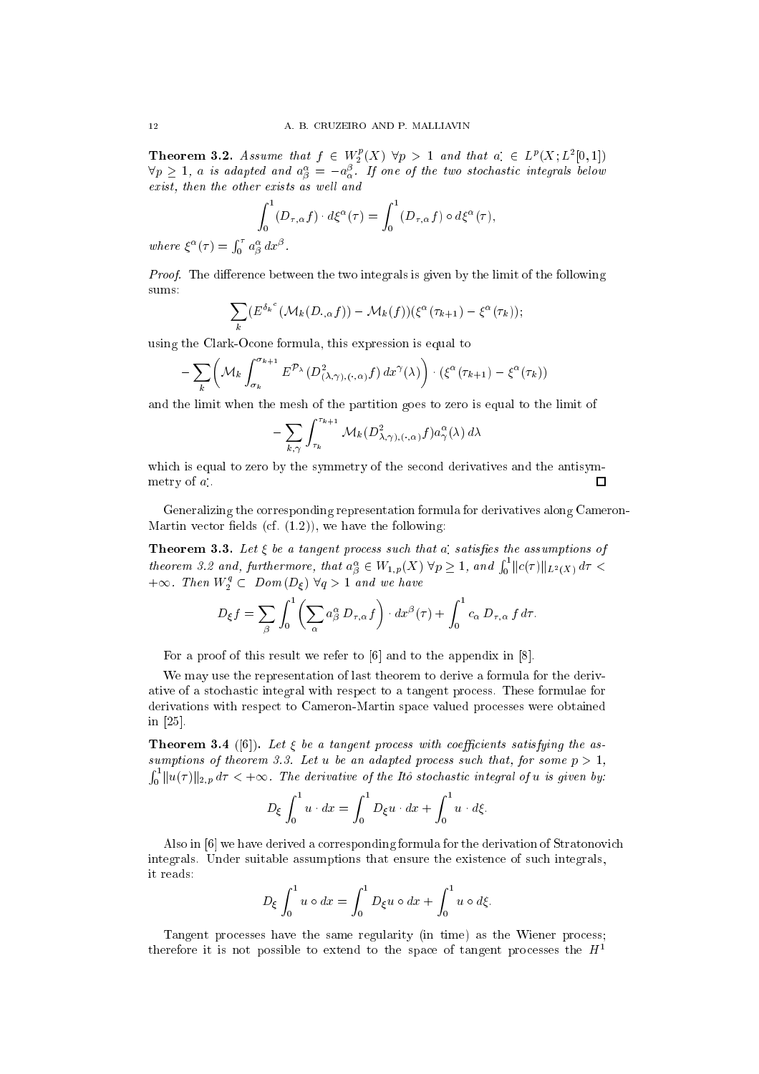**Theorem 3.2.** Assume that  $f \in W_2^p(X)$   $\forall p > 1$  and that  $a \in L^p(X; L^2[0,1])$  $\mathbb{E}[\mathbf{v}_B] \geq 1$ , a is adapted and  $a_{\widetilde{B}} = -a_{\widetilde{\alpha}}$ . If one of the two stochastic integrals below exist, then the other exists as well and

$$
\int_0^1 (D_{\tau,\alpha} f) \cdot d\xi^{\alpha}(\tau) = \int_0^1 (D_{\tau,\alpha} f) \circ d\xi^{\alpha}(\tau),
$$

where  $\zeta$  (*T*)  $=$  $\int_0^\tau a^\alpha_\beta\,dx^\beta$  .

*Proof.* The difference between the two integrals is given by the limit of the following sums:

$$
\sum_{k} \left( E^{\delta_k}(\mathcal{M}_k(D_{\cdot,\alpha}f)) - \mathcal{M}_k(f) \right) \left( \zeta^{\alpha}(\tau_{k+1}) - \zeta^{\alpha}(\tau_k) \right);
$$

using the Clark-O
one formula, this expression is equal to

$$
-\sum_{k} \left( \mathcal{M}_{k} \int_{\sigma_{k}}^{\sigma_{k+1}} E^{\mathcal{P}_{\lambda}}(D^2_{(\lambda,\gamma),(\cdot,\alpha)}f) dx^{\gamma}(\lambda) \right) \cdot \left( \xi^{\alpha}(\tau_{k+1}) - \xi^{\alpha}(\tau_{k}) \right)
$$

and the limit when the mesh of the partition goes to zero is equal to the limit of

$$
- \sum_{k,\gamma} \int_{\tau_k}^{\tau_{k+1}} \mathcal{M}_k(D^2_{\lambda,\gamma),(\cdot,\alpha)} f) a^\alpha_\gamma(\lambda) d\lambda
$$

which is equal to zero by the symmetry of the second derivatives and the antisym-П metry of  $a_{\cdot}$ .

Generalizing the orresponding representation formula for derivatives along Cameron-Martin vector fields (cf.  $(1.2)$ ), we have the following:

**Theorem 3.3.** Let  $\zeta$  be a tangent process such that a satisfies the assumptions of theorem 3.2 and, furthermore, that  $a_{\beta}^{\alpha} \in W_{1,p}(X)$   $\forall p \geq 1$ , and  $\int_0^1$  $_{0}$   $||C(\tau)||_{L^{2}(X)}$   $a\tau$   $\leq$  $+\infty$ . Then  $W_2^* \subset Dom(D_{\xi}) \vee q > 1$  and we have

$$
D_{\xi}f = \sum_{\beta} \int_0^1 \left( \sum_{\alpha} a_{\beta}^{\alpha} D_{\tau,\alpha} f \right) \cdot dx^{\beta}(\tau) + \int_0^1 c_{\alpha} D_{\tau,\alpha} f d\tau.
$$

For a proof of this result we refer to  $[6]$  and to the appendix in  $[8]$ .

We may use the representation of last theorem to derive a formula for the derivative of a sto
hasti integral with respe
t to a tangent pro
ess. These formulae for derivations with respe
t to Cameron-Martin spa
e valued pro
esses were obtained in  $[25]$ .

**Theorem 3.4** ([6]). Let  $\xi$  be a tangent process with coefficients satisfying the assumptions of theorem 3.3. Let u be an adapted process such that, for some  $p > 1$ ,  $\int_0^1 \| u(\tau) \|_{2,p} \, d\tau < +\infty$ . The derivative of the Itô stochastic integral of  $u$  is given by:

$$
D_{\xi} \int_0^1 u \cdot dx = \int_0^1 D_{\xi} u \cdot dx + \int_0^1 u \cdot d\xi.
$$

Also in  $[6]$  we have derived a corresponding formula for the derivation of Stratonovich integrals. Under suitable assumptions that ensure the existen
e of su
h integrals, it reads:

$$
D_{\xi} \int_0^1 u \circ dx = \int_0^1 D_{\xi} u \circ dx + \int_0^1 u \circ d\xi.
$$

Tangent processes have the same regularity (in time) as the Wiener process; therefore it is not possible to extend to the space of tangent processes the  $H<sup>1</sup>$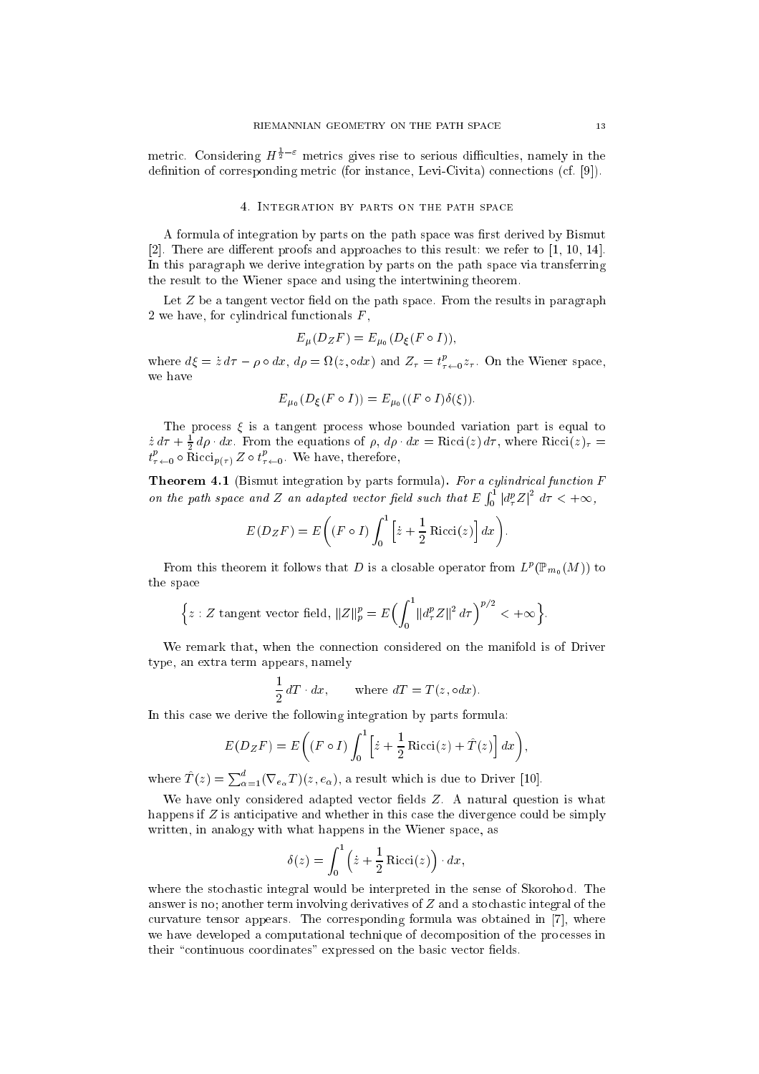metric. Considering  $H^{\frac{1}{2}-\varepsilon}$  metrics gives rise to serious difficulties, namely in the definition of corresponding metric (for instance, Levi-Civita) connections (cf.  $[9]$ ).

#### 4. Integration by parts on the path spa
e

A formula of integration by parts on the path space was first derived by Bismut [2]. There are different proofs and approaches to this result: we refer to  $[1, 10, 14]$ . In this paragraph we derive integration by parts on the path spa
e via transferring the result to the Wiener spa
e and using the intertwining theorem.

Let  $Z$  be a tangent vector field on the path space. From the results in paragraph 2 we have, for cylindrical functionals  $F$ ,

$$
E_{\mu}(D_{Z}F) = E_{\mu_0}(D_{\xi}(F \circ I)),
$$

where  $d\xi = z d\tau - \rho \circ dx$ ,  $d\rho = \Omega(z, \circ dx)$  and  $Z_{\tau} = t_{\tau \leftarrow 0}^* z_{\tau}$ . On the Wiener space, we have

$$
E_{\mu_0}(D_{\xi}(F \circ I)) = E_{\mu_0}((F \circ I)\delta(\xi)).
$$

The process  $\xi$  is a tangent process whose bounded variation part is equal to  $\dot{z} d\tau + \frac{1}{2} d\rho \cdot dx$ . From the equations of  $\rho$ ,  $d\rho \cdot dx = \text{Ricci}(z) d\tau$ , where  $\text{Ricci}(z)_{\tau} =$  $t^e_{\tau \leftarrow 0} \circ \text{Riccl}_{p(\tau)} \: \text{\textbf{Z}} \circ t^e_{\tau \leftarrow 0}.$  We have, therefore,

Theorem 4.1 (Bismut integration by parts formula). For a cylindrical function F on the path space of the path space of the path space of the path space of the path space of the path space of  $\sim$  1  $\int_0^1 |d^p_\tau Z|^2 \, d\tau < +\infty,$ 

$$
E(DzF) = E\left((F \circ I)\int_0^1 \left[\dot{z} + \frac{1}{2}\operatorname{Ricci}(z)\right]dx\right).
$$

From this theorem it follows that D is a closable operator from  $L^p(\mathbb{F}_{m_0}(M))$  to the spa
e

$$
\Big\{z: Z \text{ tangent vector field}, ||Z||_p^p = E\Big(\int_0^1 ||d_\tau^p Z||^2 d\tau\Big)^{p/2} < +\infty\Big\}.
$$

We remark that, when the connection considered on the manifold is of Driver type, an extra term appears, namely

$$
\frac{1}{2} dT \cdot dx, \qquad \text{where } dT = T(z, \circ dx).
$$

In this case we derive the following integration by parts formula:

$$
E(DzF) = E\left((F \circ I)\int_0^1 \left[\dot{z} + \frac{1}{2}\operatorname{Ricci}(z) + \hat{T}(z)\right]dx\right)
$$

where  $T(z) = \sum_{\alpha=1}^{a} (\nabla_{e_{\alpha}} T)(z, e_{\alpha})$ , a result which is due to Driver [10].

We have only considered adapted vector fields Z. A natural question is what happens if  $Z$  is anticipative and whether in this case the divergence could be simply written, in analogy with what happens in the Wiener space, as

$$
\delta(z) = \int_0^1 \left( \dot{z} + \frac{1}{2} \operatorname{Ricci}(z) \right) \cdot dx,
$$

where the stochastic integral would be interpreted in the sense of Skorohod. The answer is no; another term involving derivatives of  $Z$  and a stochastic integral of the curvature tensor appears. The corresponding formula was obtained in  $[7]$ , where we have developed a omputational te
hnique of de
omposition of the pro
esses in their "continuous coordinates" expressed on the basic vector fields.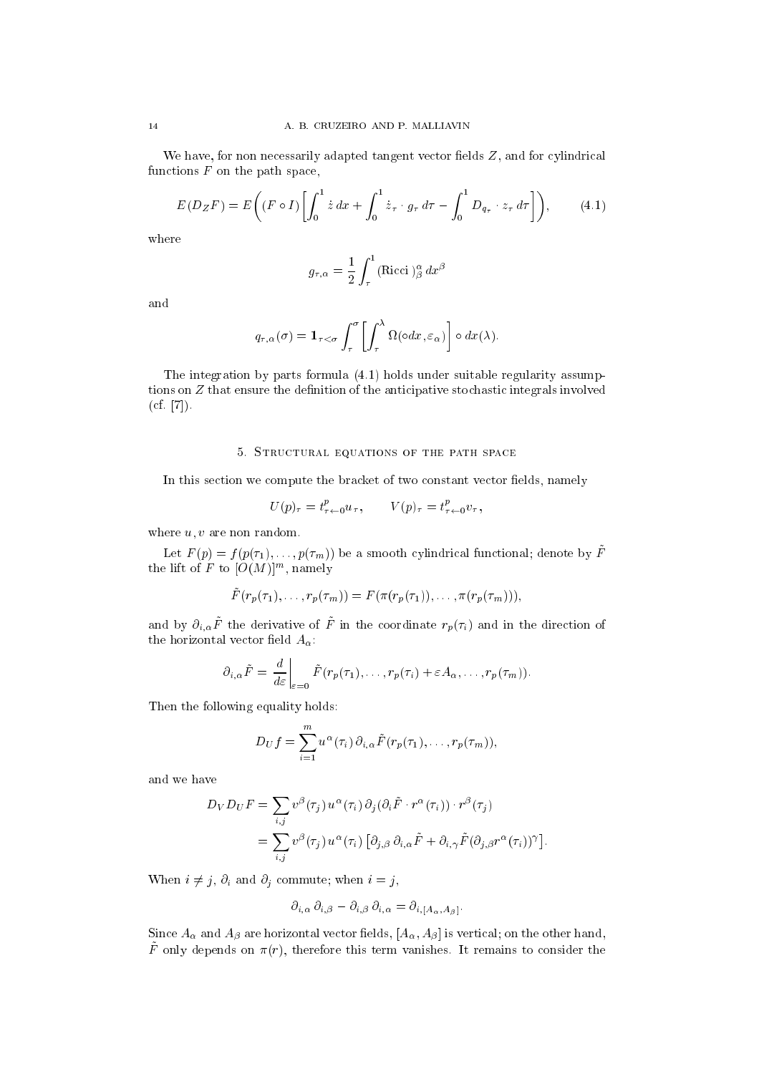We have, for non necessarily adapted tangent vector fields  $Z$ , and for cylindrical functions  $F$  on the path space,

$$
E(DzF) = E\left((F \circ I)\left[\int_0^1 \dot{z} \, dx + \int_0^1 \dot{z}_\tau \cdot g_\tau \, d\tau - \int_0^1 D_{q_\tau} \cdot z_\tau \, d\tau\right]\right),\tag{4.1}
$$

where

$$
g_{\tau,\alpha} = \frac{1}{2} \int_{\tau}^{1} (\text{Ricci})^{\alpha}_{\beta} dx^{\beta}
$$

and

$$
q_{\tau,\alpha}(\sigma) = \mathbf{1}_{\tau < \sigma} \int_{\tau}^{\sigma} \left[ \int_{\tau}^{\lambda} \Omega(\circ dx, \varepsilon_{\alpha}) \right] \circ dx(\lambda).
$$

The integration by parts formula (4.1) holds under suitable regularity assumptions on  $Z$  that ensure the definition of the anticipative stochastic integrals involved  $(cf. [7]).$ 

## 5. STRUCTURAL EQUATIONS OF THE PATH SPACE

In this section we compute the bracket of two constant vector fields, namely

$$
U(p)_{\tau} = t^{p}_{\tau \leftarrow 0} u_{\tau}, \qquad V(p)_{\tau} = t^{p}_{\tau \leftarrow 0} v_{\tau},
$$

where  $u, v$  are non random.

Let  $F(p) = f(p(\tau_1), \ldots, p(\tau_m))$  be a smooth cylindrical functional; denote by  $\tilde{F}$ the lift of  $F$  to  $|U(M)|^m$ , namely

$$
\tilde{F}(r_p(\tau_1),\ldots,r_p(\tau_m))=F(\pi(r_p(\tau_1)),\ldots,\pi(r_p(\tau_m))),
$$

and by  $\partial_{i,\alpha} \tilde{F}$  the derivative of  $\tilde{F}$  in the coordinate  $r_p(\tau_i)$  and in the direction of the horizontal vector field  $A_{\alpha}$ :

$$
\partial_{i,\alpha}\tilde{F} = \frac{d}{d\varepsilon}\bigg|_{\varepsilon=0} \tilde{F}(r_p(\tau_1),\ldots,r_p(\tau_i)+\varepsilon A_\alpha,\ldots,r_p(\tau_m)).
$$

Then the following equality holds:

$$
D_U f = \sum_{i=1}^m u^{\alpha}(\tau_i) \, \partial_{i,\alpha} \tilde{F}(r_p(\tau_1), \ldots, r_p(\tau_m)),
$$

and we have

$$
D_V D_U F = \sum_{i,j} v^{\beta} (\tau_j) u^{\alpha} (\tau_i) \partial_j (\partial_i \tilde{F} \cdot r^{\alpha} (\tau_i)) \cdot r^{\beta} (\tau_j)
$$
  
= 
$$
\sum_{i,j} v^{\beta} (\tau_j) u^{\alpha} (\tau_i) [\partial_{j,\beta} \partial_{i,\alpha} \tilde{F} + \partial_{i,\gamma} \tilde{F} (\partial_{j,\beta} r^{\alpha} (\tau_i))^{\gamma}].
$$

When  $i \neq j$ ,  $\partial_i$  and  $\partial_j$  commute; when  $i = j$ ,

$$
\partial_{i,\alpha}\,\partial_{i,\beta} - \partial_{i,\beta}\,\partial_{i,\alpha} = \partial_{i,[A_{\alpha},A_{\beta}]}.
$$

Since  $A_{\alpha}$  and  $A_{\beta}$  are horizontal vector fields,  $[A_{\alpha}, A_{\beta}]$  is vertical; on the other hand,  $\tilde{F}$  only depends on  $\pi(r)$ , therefore this term vanishes. It remains to consider the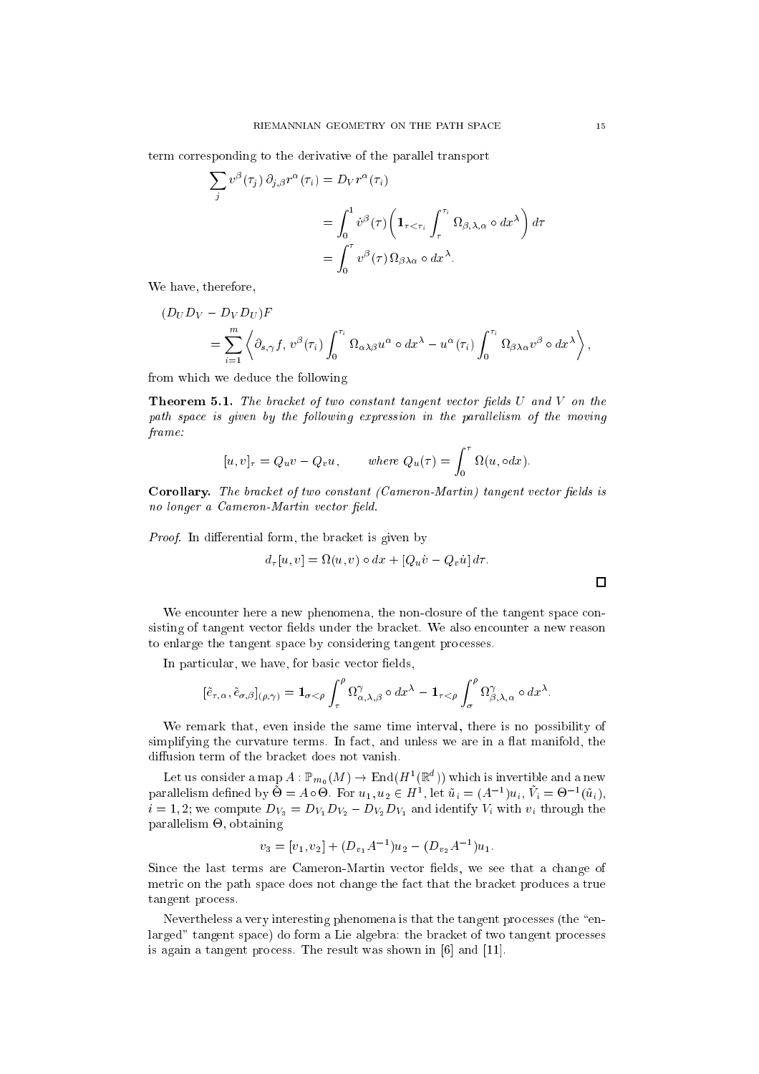term orresponding to the derivative of the parallel transport

$$
\sum_{j} v^{\beta}(\tau_{j}) \partial_{j,\beta} r^{\alpha}(\tau_{i}) = D_{V} r^{\alpha}(\tau_{i})
$$
  
= 
$$
\int_{0}^{1} v^{\beta}(\tau) \left( \mathbf{1}_{\tau < \tau_{i}} \int_{\tau}^{\tau_{i}} \Omega_{\beta,\lambda,\alpha} \circ dx^{\lambda} \right) d\tau
$$
  
= 
$$
\int_{0}^{\tau} v^{\beta}(\tau) \Omega_{\beta\lambda\alpha} \circ dx^{\lambda}.
$$

We have, therefore,

 $\sim$ 

$$
(D_U D_V - D_V D_U)F
$$
  
=  $\sum_{i=1}^m \left\langle \partial_{s,\gamma} f, v^{\beta}(\tau_i) \int_0^{\tau_i} \Omega_{\alpha\lambda\beta} u^{\alpha} \circ dx^{\lambda} - u^{\alpha}(\tau_i) \int_0^{\tau_i} \Omega_{\beta\lambda\alpha} v^{\beta} \circ dx^{\lambda} \right\rangle$ ,

from whi
h we dedu
e the following

**Theorem 5.1.** The bracket of two constant tangent vector fields  $U$  and  $V$  on the path space is given by the following expression in the parallelism of the moving frame:

$$
[u, v]_{\tau} = Q_u v - Q_v u, \quad \text{where } Q_u(\tau) = \int_0^{\tau} \Omega(u, \circ dx).
$$

Corollary. The bracket of two constant (Cameron-Martin) tangent vector fields is no longer a Cameron-Martin vector field.

Proof. In differential form, the bracket is given by

$$
d_{\tau}[u, v] = \Omega(u, v) \circ dx + [Q_u \dot{v} - Q_v \dot{u}] d\tau.
$$

We encounter here a new phenomena, the non-closure of the tangent space consisting of tangent vector fields under the bracket. We also encounter a new reason to enlarge the tangent spa
e by onsidering tangent pro
esses.

In particular, we have, for basic vector fields,

$$
[\tilde{e}_{\tau,\alpha},\tilde{e}_{\sigma,\beta}]_{(\rho,\gamma)} = \mathbf{1}_{\sigma < \rho} \int_{\tau}^{\rho} \Omega^{\gamma}_{\alpha,\lambda,\beta} \circ dx^{\lambda} - \mathbf{1}_{\tau < \rho} \int_{\sigma}^{\rho} \Omega^{\gamma}_{\beta,\lambda,\alpha} \circ dx^{\lambda}.
$$

We remark that, even inside the same time interval, there is no possibility of simplifying the curvature terms. In fact, and unless we are in a flat manifold, the diffusion term of the bracket does not vanish.

Let us consider a map  $A: \mathbb{P}_{m_0}(M) \to \mathrm{End}(H^1(\mathbb{R}^d))$  which is invertible and a new parallelism defined by  $\dot{\Theta} = A \circ \Theta$ . For  $u_1, u_2 \in H^1$ , let  $\tilde{u}_i = (A^{-1})u_i$ ,  $\tilde{V}_i = \Theta^{-1}(\tilde{u}_i)$ ,  $i = 1, 2$ ; we compute  $D_{V_3} = D_{V_1}D_{V_2} - D_{V_2}D_{V_1}$  and identify  $V_i$  with  $v_i$  through the parallelism -, obtaining

$$
v_3 = [v_1, v_2] + (D_{v_1}A^{-1})u_2 - (D_{v_2}A^{-1})u_1.
$$

Since the last terms are Cameron-Martin vector fields, we see that a change of metric on the path space does not change the fact that the bracket produces a true tangent pro
ess.

Nevertheless a very interesting phenomena is that the tangent processes (the "enlarged" tangent space) do form a Lie algebra: the bracket of two tangent processes is again a tangent process. The result was shown in  $[6]$  and  $[11]$ .

 $\Box$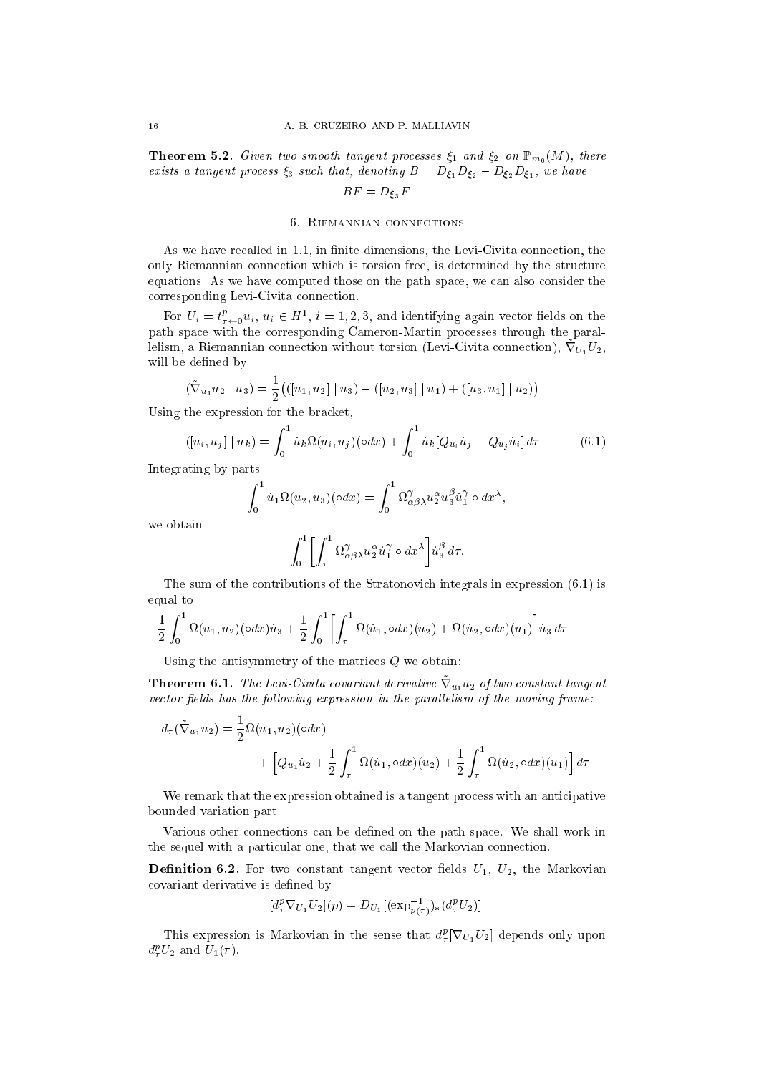**Theorem 5.2.** Given two smooth tangent processes  $\xi_1$  and  $\xi_2$  on  $\mathbb{P}_{m_0}(M)$ , there exists a tangent process  $\xi_3$  such that, denoting  $B = D_{\xi_1}D_{\xi_2} - D_{\xi_2}D_{\xi_1}$ , we have

$$
BF = D_{\xi_3}F.
$$

## 6. RIEMANNIAN CONNECTIONS

As we have recalled in 1.1, in finite dimensions, the Levi-Civita connection, the only Riemannian connection which is torsion free, is determined by the structure equations. As we have computed those on the path space, we can also consider the orresponding Levi-Civita onne
tion.

For  $U_i = t_{\tau \leftarrow 0}^p u_i, u_i \in H^1$ ,  $i = 1, 2, 3$ , and identifying again vector fields on the path spa
e with the orresponding Cameron-Martin pro
esses through the paraliensin, a Kiemannian connection without torsion (Levi-Civita connection), v $U_1U_2$ , will be defined by

$$
(\tilde{\nabla}_{u_1} u_2 \mid u_3) = \frac{1}{2} \big( \big( [u_1, u_2] \mid u_3 \big) - \big( [u_2, u_3] \mid u_1 \big) + \big( [u_3, u_1] \mid u_2 \big) \big).
$$

Using the expression for the bracket,

$$
([u_i, u_j] | u_k) = \int_0^1 \dot{u}_k \Omega(u_i, u_j) (\circ dx) + \int_0^1 \dot{u}_k [Q_{u_i} \dot{u}_j - Q_{u_j} \dot{u}_i] d\tau.
$$
 (6.1)

Integrating by parts

$$
\int_0^1 \dot{u}_1 \Omega(u_2, u_3)(\circ dx) = \int_0^1 \Omega_{\alpha\beta\lambda}^\gamma u_2^\alpha u_3^\beta \dot{u}_1^\gamma \circ dx^\lambda,
$$

we obtain

$$
\int_0^1 \left[ \int_\tau^1 \Omega^\gamma_{\alpha\beta\lambda} u_2^\alpha \dot{u}_1^\gamma \circ dx^\lambda \right] \dot{u}_3^\beta d\tau.
$$

The sum of the contributions of the Stratonovich integrals in expression  $(6.1)$  is equal to

$$
\frac{1}{2} \int_0^1 \Omega(u_1, u_2) (\circ dx) \dot{u}_3 + \frac{1}{2} \int_0^1 \left[ \int_\tau^1 \Omega(\dot{u}_1, \circ dx) (u_2) + \Omega(\dot{u}_2, \circ dx) (u_1) \right] \dot{u}_3 d\tau.
$$

Using the antisymmetry of the matrices  $Q$  we obtain:

**Theorem 0.1.** The Levi-Civita covariant derivative  $V_{u_1}u_2$  by two constant tangent vector fields has the following expression in the parallelism of the moving frame:

$$
d_{\tau}(\tilde{\nabla}_{u_1} u_2) = \frac{1}{2} \Omega(u_1, u_2)(\circ dx) + \left[ Q_{u_1} \dot{u}_2 + \frac{1}{2} \int_{\tau}^1 \Omega(\dot{u}_1, \circ dx)(u_2) + \frac{1}{2} \int_{\tau}^1 \Omega(\dot{u}_2, \circ dx)(u_1) \right] d\tau.
$$

We remark that the expression obtained is a tangent process with an anticipative bounded variation part.

Various other onne
tions an be dened on the path spa
e. We shall work in the sequel with a particular one, that we call the Markovian connection.

**Definition 6.2.** For two constant tangent vector fields  $U_1$ ,  $U_2$ , the Markovian covariant derivative is defined by

$$
[d_{\tau}^{p} \nabla_{U_{1}} U_{2}](p) = D_{U_{1}} [(\exp_{p(\tau)}^{-1})_{*}(d_{\tau}^{p} U_{2})].
$$

**This expression is Markovian in the sense that**  $a^2_T$  **[V**  $U_1U_2$ **]** depends only upon  $a_{\tau} \psi_2$  and  $\psi_1(\tau)$ .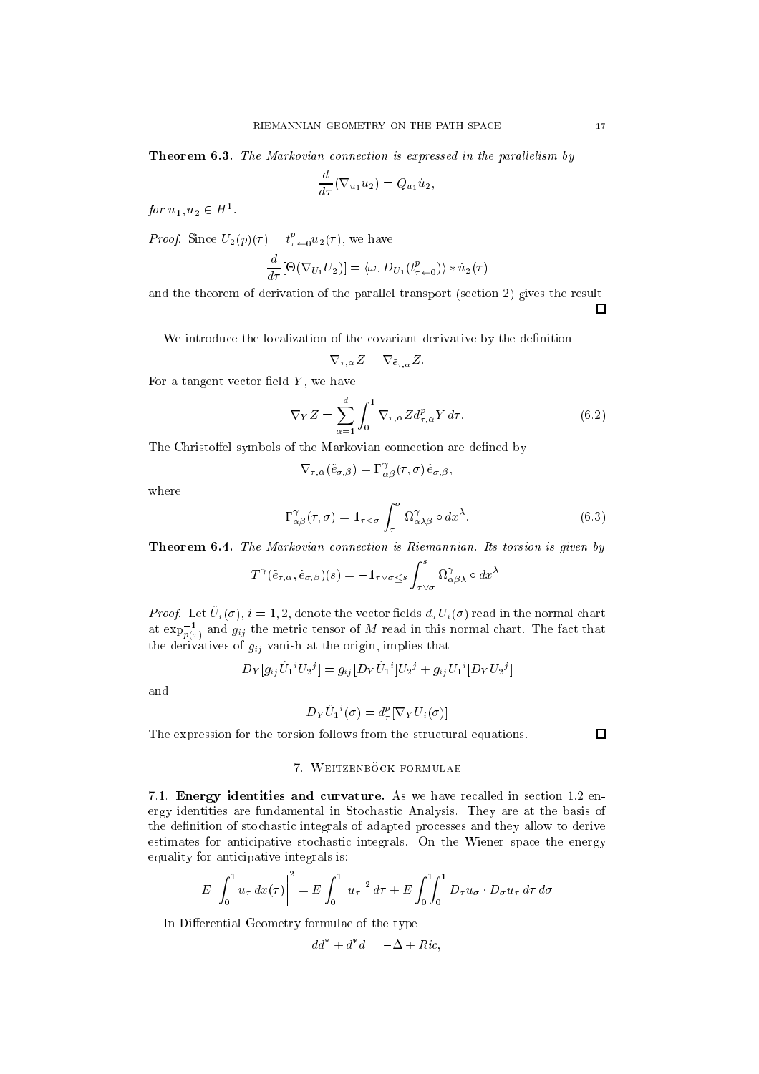**Theorem 6.3.** The Markovian connection is expressed in the parallelism by

$$
\frac{d}{d\tau}(\nabla_{u_1}u_2)=Q_{u_1}\dot{u}_2,
$$

for  $u_1, u_2 \in H^1$ .

*Proof.* Since  $U_2(p)(\tau) = t_{\tau \leftarrow 0}^r u_2(\tau)$ , we have

$$
\frac{d}{d\tau}[\Theta(\nabla_{U_1} U_2)] = \langle \omega, D_{U_1}(t^p_{\tau+0}) \rangle * \dot{u}_2(\tau)
$$

and the theorem of derivation of the parallel transport (section 2) gives the result.  $\Box$ 

We introduce the localization of the covariant derivative by the definition

$$
\nabla_{\tau,\alpha} Z = \nabla_{\bar{e}_{\tau,\alpha}} Z.
$$

For a tangent vector field  $Y$ , we have

$$
\nabla_Y Z = \sum_{\alpha=1}^d \int_0^1 \nabla_{\tau,\alpha} Z d_{\tau,\alpha}^p Y d\tau.
$$
 (6.2)

The Christoffel symbols of the Markovian connection are defined by

$$
\nabla_{\tau,\alpha}(\tilde{e}_{\sigma,\beta}) = \Gamma^{\gamma}_{\alpha\beta}(\tau,\sigma) \, \tilde{e}_{\sigma,\beta},
$$

where

$$
\Gamma^{\gamma}_{\alpha\beta}(\tau,\sigma) = \mathbf{1}_{\tau < \sigma} \int_{\tau}^{\sigma} \Omega^{\gamma}_{\alpha\lambda\beta} \circ dx^{\lambda}.
$$
 (6.3)

Theorem 6.4. The Markovian connection is Riemannian. Its torsion is given by

$$
T^{\gamma}(\tilde{e}_{\tau,\alpha},\tilde{e}_{\sigma,\beta})(s)=-\mathbf{1}_{\tau\vee\sigma\leq s}\int_{\tau\vee\sigma}^{s}\Omega_{\alpha\beta\lambda}^{\gamma}\circ dx^{\lambda}.
$$

*I* roof. Let  $U_i(0), i = 1, 2$ , denote the vector nears  $a_{\tau}U_i(0)$  read in the normal chart at  $\exp^{-1}_{p(\tau)}$  and  $g_{ij}$  the metric tensor of M read in this normal chart. The fact that the derivatives of  $g_{ij}$  vanish at the origin, implies that

$$
D_Y[g_{ij}\hat{U}_1{}^iU_2{}^j] = g_{ij}[D_Y\hat{U}_1{}^i]U_2{}^j + g_{ij}U_1{}^i[D_YU_2{}^j]
$$

and

$$
D_Y \hat{U}_1{}^i(\sigma) = d^p_\tau [\nabla_Y U_i(\sigma)]
$$

The expression for the torsion follows from the structural equations.

# $\Box$

# 7. WEITZENBÖCK FORMULAE

7.1. Energy identities and curvature. As we have recalled in section 1.2 energy identities are fundamental in Sto
hasti Analysis. They are at the basis of the definition of stochastic integrals of adapted processes and they allow to derive estimates for anticipative stochastic integrals. On the Wiener space the energy equality for anticipative integrals is:

$$
E\left|\int_0^1 u_\tau \, dx(\tau)\right|^2 = E\int_0^1 |u_\tau|^2 \, d\tau + E\int_0^1 \int_0^1 D_\tau u_\sigma \cdot D_\sigma u_\tau \, d\tau \, d\sigma
$$

In Differential Geometry formulae of the type

$$
dd^* + d^*d = -\Delta + Ric,
$$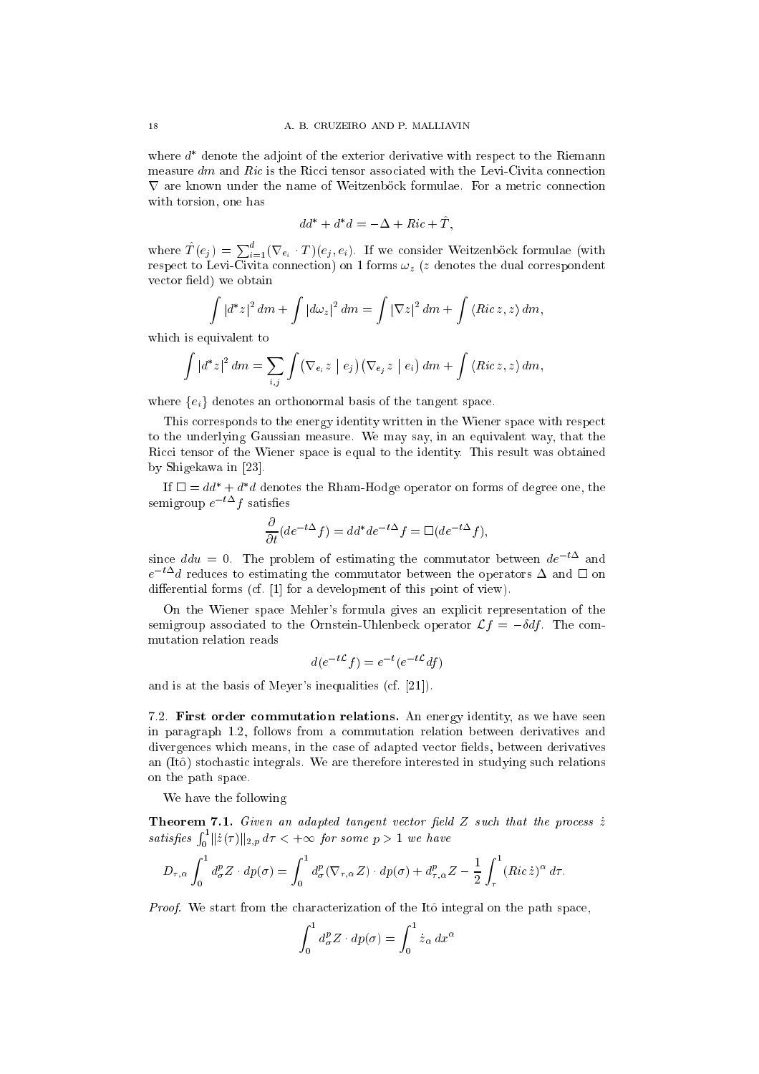where a udenote the adjoint of the exterior derivative with respect to the Riemann measure  $dm$  and Ric is the Ricci tensor associated with the Levi-Civita connection with torsion, one has

$$
dd^* + d^*d = -\Delta + Ric + \hat{T},
$$

where  $T(e_j) = \sum_{i=1}^a (\nabla_{e_i} \cdot T)(e_j, e_i)$ . If we consider Weitzenböck formulae (with respe
t to Levi-Civita onne
tion) on <sup>1</sup> forms !z (z denotes the dual orrespondent vector field) we obtain

$$
\int |d^*z|^2 dm + \int |d\omega_z|^2 dm = \int |\nabla z|^2 dm + \int \langle Ric \, z, z \rangle dm,
$$

which is equivalent to

$$
\int |d^*z|^2 dm = \sum_{i,j} \int (\nabla_{e_i} z \mid e_j) (\nabla_{e_j} z \mid e_i) dm + \int \langle Ricz, z \rangle dm,
$$

where  $\{e_i\}$  denotes an orthonormal basis of the tangent space.

This corresponds to the energy identity written in the Wiener space with respect to the underlying Gaussian measure. We may say, in an equivalent way, that the Ricci tensor of the Wiener space is equal to the identity. This result was obtained by Shigekawa in  $[23]$ .

 $\ln \Box = \mu a + a \, a$  denotes the Kham-Hodge operator on forms of degree one, the semigroup  $e^{-t\Delta}f$  satisfies

$$
\frac{\partial}{\partial t}(de^{-t\Delta}f) = dd^*de^{-t\Delta}f = \Box(de^{-t\Delta}f),
$$

since  $ddu = 0$ . The problem of estimating the commutator between  $de^{-t\Delta}$  and  $e^{-t\Delta}$  reduces to estimating the commutator between the operators  $\Delta$  and  $\square$  on differential forms (cf.  $[1]$  for a development of this point of view).

On the Wiener spa
e Mehler's formula gives an expli
it representation of the semigroup associated to the Ornstein-Uhlenbeck operator  $\mathcal{L}f = -\delta df$ . The commutation relation reads

$$
d(e^{-t\mathcal{L}}f) = e^{-t}(e^{-t\mathcal{L}}df)
$$

and is at the basis of Meyer's inequalities  $(cf. [21])$ .

7.2. First order ommutation relations. An energy identity, as we have seen in paragraph 1.2, follows from a ommutation relation between derivatives and divergences which means, in the case of adapted vector fields, between derivatives an (Itô) stochastic integrals. We are therefore interested in studying such relations on the path spa
e.

We have the following

Theorem 7.1. Given an adapted tangent vector field  $Z$  such that the process  $\dot{z}$ satisfies  $\int_0^1 ||\dot{z}(\tau)||_{2,p} d\tau < +\infty$  for some  $p > 1$  we have

$$
D_{\tau,\alpha} \int_0^1 d^p_{\sigma} Z \cdot dp(\sigma) = \int_0^1 d^p_{\sigma} (\nabla_{\tau,\alpha} Z) \cdot dp(\sigma) + d^p_{\tau,\alpha} Z - \frac{1}{2} \int_\tau^1 (Ric \, \dot{z})^{\alpha} d\tau.
$$

Proof. We start from the characterization of the Itô integral on the path space,

$$
\int_0^1 d^p_\sigma Z \cdot dp(\sigma) = \int_0^1 \dot{z}_\alpha dx^\alpha
$$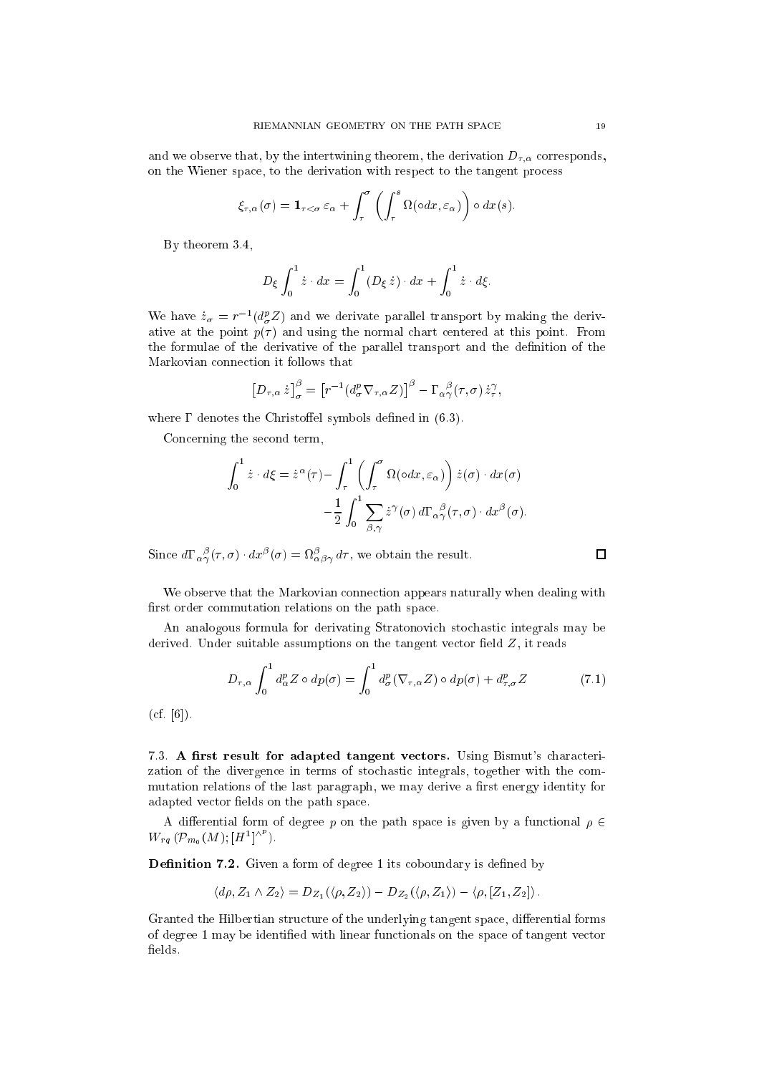and we observe that, by the intertwining theorem, the derivation  $D_{\tau,\alpha}$  corresponds, on the Wiener spa
e, to the derivation with respe
t to the tangent pro
ess

$$
\xi_{\tau,\alpha}(\sigma) = \mathbf{1}_{\tau < \sigma} \varepsilon_{\alpha} + \int_{\tau}^{\sigma} \left( \int_{\tau}^{s} \Omega(\circ dx, \varepsilon_{\alpha}) \right) \circ dx(s).
$$

By theorem 3.4,

$$
D_{\xi} \int_0^1 \dot{z} \cdot dx = \int_0^1 (D_{\xi} \dot{z}) \cdot dx + \int_0^1 \dot{z} \cdot d\xi.
$$

We have  $\dot{z}_\sigma = r^{-1} (d^p_\sigma Z)$  and we derivate parallel transport by making the derivative at the point  $p(\tau)$  and using the normal chart centered at this point. From the formulae of the derivative of the parallel transport and the denition of the Markovian connection it follows that

$$
\left[D_{\tau,\alpha}\,\dot{z}\right]_{\sigma}^{\beta}=\left[r^{-1}\left(d_{\sigma}^{p}\nabla_{\tau,\alpha}Z\right)\right]^{\beta}-\Gamma_{\alpha\gamma}^{\ \beta}(\tau,\sigma)\,\dot{z}_{\tau}^{\gamma},
$$

where  $\Gamma$  denotes the Christoffel symbols defined in (6.3).

Concerning the second term,

$$
\int_0^1 \dot{z} \cdot d\xi = \dot{z}^\alpha(\tau) - \int_\tau^1 \left( \int_\tau^\sigma \Omega(\circ dx, \varepsilon_\alpha) \right) \dot{z}(\sigma) \cdot dx(\sigma)
$$

$$
- \frac{1}{2} \int_0^1 \sum_{\beta, \gamma} \dot{z}^\gamma(\sigma) d\Gamma_\alpha{}_\gamma^\beta(\tau, \sigma) \cdot dx^\beta(\sigma).
$$

Since  $a_1 \alpha_{\gamma}(\tau, \sigma) \cdot a x^{\gamma}(\sigma) = \alpha_{\alpha\beta\gamma} a\tau$ , we obtain the result.

We observe that the Markovian connection appears naturally when dealing with first order commutation relations on the path space.

An analogous formula for derivating Stratonovi
h sto
hasti integrals may be derived. Under suitable assumptions on the tangent vector field  $Z$ , it reads

$$
D_{\tau,\alpha} \int_0^1 d_{\alpha}^p Z \circ dp(\sigma) = \int_0^1 d_{\sigma}^p (\nabla_{\tau,\alpha} Z) \circ dp(\sigma) + d_{\tau,\sigma}^p Z \tag{7.1}
$$

 $(cf. [6]).$ 

7.3. A first result for adapted tangent vectors. Using Bismut's characterization of the divergence in terms of stochastic integrals, together with the commutation relations of the last paragraph, we may derive a first energy identity for adapted vector fields on the path space.

A differential form of degree p on the path space is given by a functional  $\rho \in$  $W_{rq} (\mathcal{P}_{m_0}(M); [H^1]^{\wedge p}).$ 

Definition 7.2. Given a form of degree 1 its coboundary is defined by

$$
\langle d\rho, Z_1 \wedge Z_2 \rangle = D_{Z_1}(\langle \rho, Z_2 \rangle) - D_{Z_2}(\langle \rho, Z_1 \rangle) - \langle \rho, [Z_1, Z_2] \rangle.
$$

Granted the Hilbertian structure of the underlying tangent space, differential forms of degree 1 may be identied with linear fun
tionals on the spa
e of tangent ve
tor fields.

 $\Box$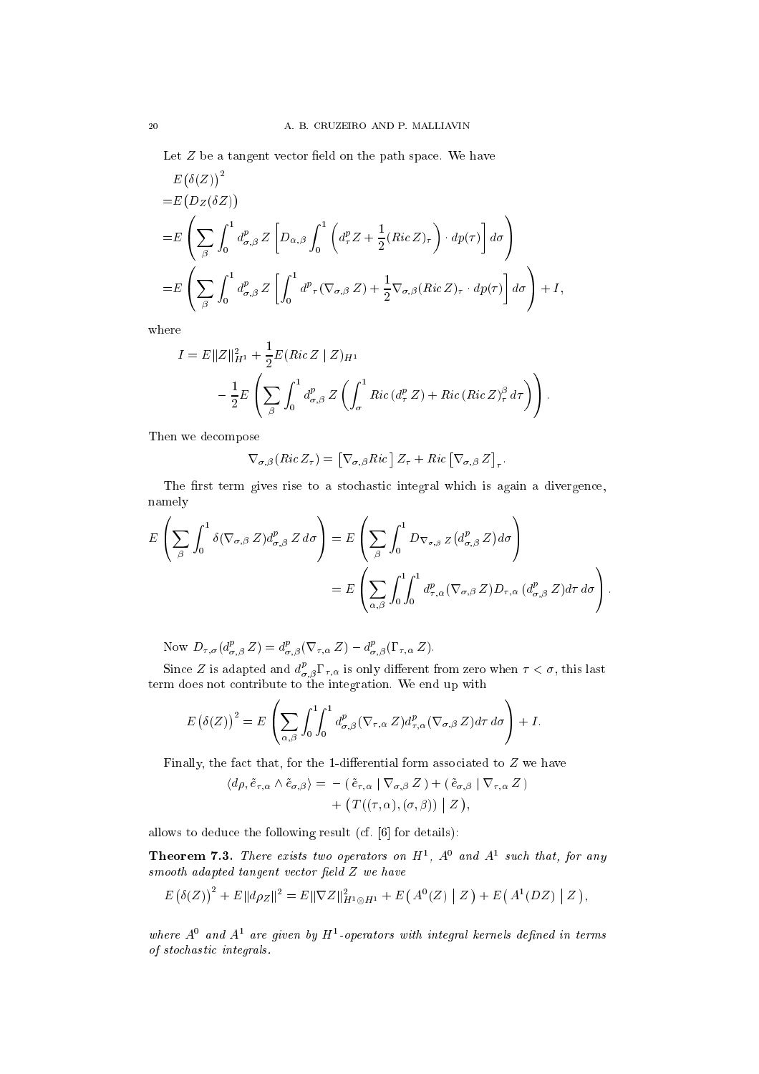Let  $Z$  be a tangent vector field on the path space. We have

$$
E(\delta(Z))^2
$$
  
= $E(D_Z(\delta Z))$   
= $E\left(\sum_{\beta} \int_0^1 d_{\sigma,\beta}^p Z \left[D_{\alpha,\beta} \int_0^1 \left(d_\tau^p Z + \frac{1}{2} (Ric Z)_\tau\right) \cdot dp(\tau) \right] d\sigma\right)$   
= $E\left(\sum_{\beta} \int_0^1 d_{\sigma,\beta}^p Z \left[\int_0^1 d^p_\tau (\nabla_{\sigma,\beta} Z) + \frac{1}{2} \nabla_{\sigma,\beta} (Ric Z)_\tau \cdot dp(\tau) \right] d\sigma\right) + I,$ 

where

$$
I = E||Z||_{H^1}^2 + \frac{1}{2}E(Ric Z | Z)_{H^1}
$$
  

$$
- \frac{1}{2}E\left(\sum_{\beta} \int_0^1 d_{\sigma,\beta}^p Z\left(\int_{\sigma}^1 Ric\,(d_{\tau}^p Z) + Ric(Ric Z)_{\tau}^{\beta} d\tau\right)\right).
$$

Then we de
ompose

$$
\nabla_{\sigma,\beta}\left(Ric Z_{\tau}\right) = \left[\nabla_{\sigma,\beta} Ric\right] Z_{\tau} + Ric\left[\nabla_{\sigma,\beta} Z\right]_{\tau}
$$

The first term gives rise to a stochastic integral which is again a divergence, namely

$$
E\left(\sum_{\beta}\int_{0}^{1}\delta(\nabla_{\sigma,\beta}Z)d^{p}_{\sigma,\beta}Z d\sigma\right) = E\left(\sum_{\beta}\int_{0}^{1}D_{\nabla_{\sigma,\beta}Z}(d^{p}_{\sigma,\beta}Z)d\sigma\right)
$$

$$
= E\left(\sum_{\alpha,\beta}\int_{0}^{1}\int_{0}^{1}d^{p}_{\tau,\alpha}(\nabla_{\sigma,\beta}Z)D_{\tau,\alpha}(d^{p}_{\sigma,\beta}Z)d\tau d\sigma\right)
$$

Now  $D_{\tau,\sigma}(d^r_{\sigma,\beta} Z) = d^r_{\sigma,\beta}(V_{\tau,\alpha} Z) - d^r_{\sigma,\beta}(I_{\tau,\alpha} Z).$ 

Since Z is adapted and  $d_{\sigma,\beta}^r \Gamma_{\tau,\alpha}$  is only different from zero when  $\tau < \sigma,$  this last term does not contribute to the integration. We end up with

$$
E(\delta(Z))^2 = E\left(\sum_{\alpha,\beta} \int_0^1 \int_0^1 d^p_{\sigma,\beta} (\nabla_{\tau,\alpha} Z) d^p_{\tau,\alpha} (\nabla_{\sigma,\beta} Z) d\tau d\sigma\right) + I.
$$

Finally, the fact that, for the 1-differential form associated to  $Z$  we have

$$
\langle d\rho, \tilde{e}_{\tau,\alpha} \wedge \tilde{e}_{\sigma,\beta} \rangle = -(\tilde{e}_{\tau,\alpha} | \nabla_{\sigma,\beta} Z) + (\tilde{e}_{\sigma,\beta} | \nabla_{\tau,\alpha} Z) + (\tilde{T}((\tau,\alpha),(\sigma,\beta)) | Z),
$$

allows to deduce the following result (cf. [6] for details):

**Theorem 7.3.** There exists two operators on  $H<sup>1</sup>$ ,  $A<sup>0</sup>$  and  $A<sup>1</sup>$  such that, for any  $smooth\ adapted\ tangent\ vector\ field\ Z\ we\ have$ 

$$
E(\delta(Z))^2 + E||d\rho_Z||^2 = E||\nabla Z||_{H^1 \otimes H^1}^2 + E(A^0(Z) | Z) + E(A^1(DZ) | Z),
$$

where  $A^0$  and  $A^1$  are given by  $H^1$ -operators with integral kernels defined in terms of sto
hasti integrals.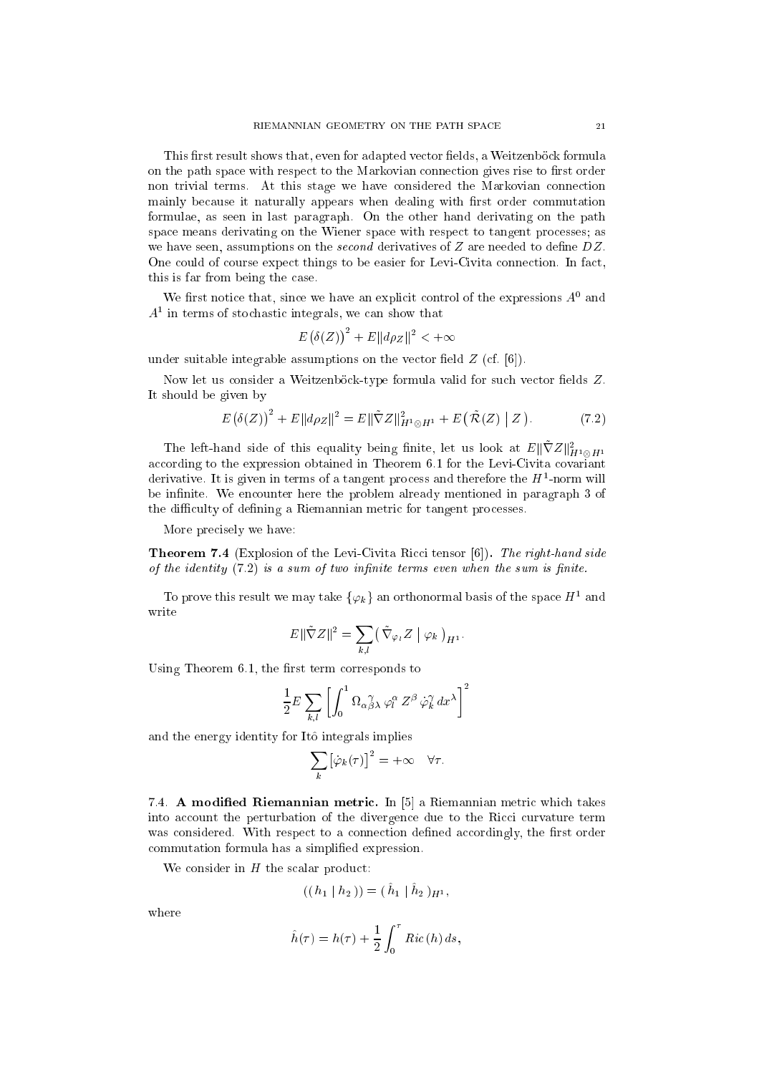This first result shows that, even for adapted vector fields, a Weitzenböck formula on the path space with respect to the Markovian connection gives rise to first order non trivial terms. At this stage we have onsidered the Markovian onne
tion mainly because it naturally appears when dealing with first order commutation formulae, as seen in last paragraph. On the other hand derivating on the path space means derivating on the Wiener space with respect to tangent processes; as we have seen, assumptions on the *second* derivatives of  $Z$  are needed to define  $DZ$ . One could of course expect things to be easier for Levi-Civita connection. In fact, this is far from being the ase.

We first notice that, since we have an explicit control of the expressions  $A^0$  and  $A<sup>1</sup>$  in terms of stochastic integrals, we can show that

$$
E(\delta(Z))^2 + E||d\rho_Z||^2 < +\infty
$$

under suitable integrable assumptions on the vector field  $Z$  (cf. [6]).

Now let us consider a Weitzenböck-type formula valid for such vector fields Z. It should be given by

$$
E(\delta(Z))^2 + E||d\rho_Z||^2 = E||\tilde{\nabla}Z||_{H^1 \otimes H^1}^2 + E(\tilde{\mathcal{R}}(Z) | Z). \tag{7.2}
$$

The left-hand side of this equality being finite, let us look at  $E\|\nabla Z\|_{H^1\otimes H^1}^2$ according to the expression obtained in Theorem 6.1 for the Levi-Civita covariant derivative. It is given in terms of a tangent process and therefore the  $H^1$ -norm will be infinite. We encounter here the problem already mentioned in paragraph 3 of the difficulty of defining a Riemannian metric for tangent processes.

More precisely we have:

**Theorem 7.4** (Explosion of the Levi-Civita Ricci tensor [6]). The right-hand side of the identity  $(7.2)$  is a sum of two infinite terms even when the sum is finite.

To prove this result we may take  $\{\varphi_k\}$  an orthonormal basis of the space  $H^1$  and write

$$
E\|\tilde{\nabla}Z\|^2 = \sum_{k,l} \left(\tilde{\nabla}_{\varphi_l}Z \bigm\vert \varphi_k\right)_{H^1}.
$$

Using Theorem  $6.1$ , the first term corresponds to

$$
\frac{1}{2}E\sum_{k,l}\left[\int_0^1\Omega_{\alpha\beta\lambda}^{\quad\gamma}\,\varphi_l^\alpha\,Z^\beta\,\dot{\varphi}_k^\gamma\,dx^\lambda\right]^2
$$

and the energy identity for Itô integrals implies

$$
\sum_{k} [\dot{\varphi}_{k}(\tau)]^{2} = +\infty \quad \forall \tau.
$$

7.4. A modified Riemannian metric. In [5] a Riemannian metric which takes into account the perturbation of the divergence due to the Ricci curvature term was considered. With respect to a connection defined accordingly, the first order ommutation formula has a simplied expression.

We consider in  $H$  the scalar product:

$$
((h_1 \mid h_2)) = (\hat{h}_1 \mid \hat{h}_2)_{H^1},
$$

where

$$
\hat{h}(\tau) = h(\tau) + \frac{1}{2} \int_0^{\tau} Ric(h) ds,
$$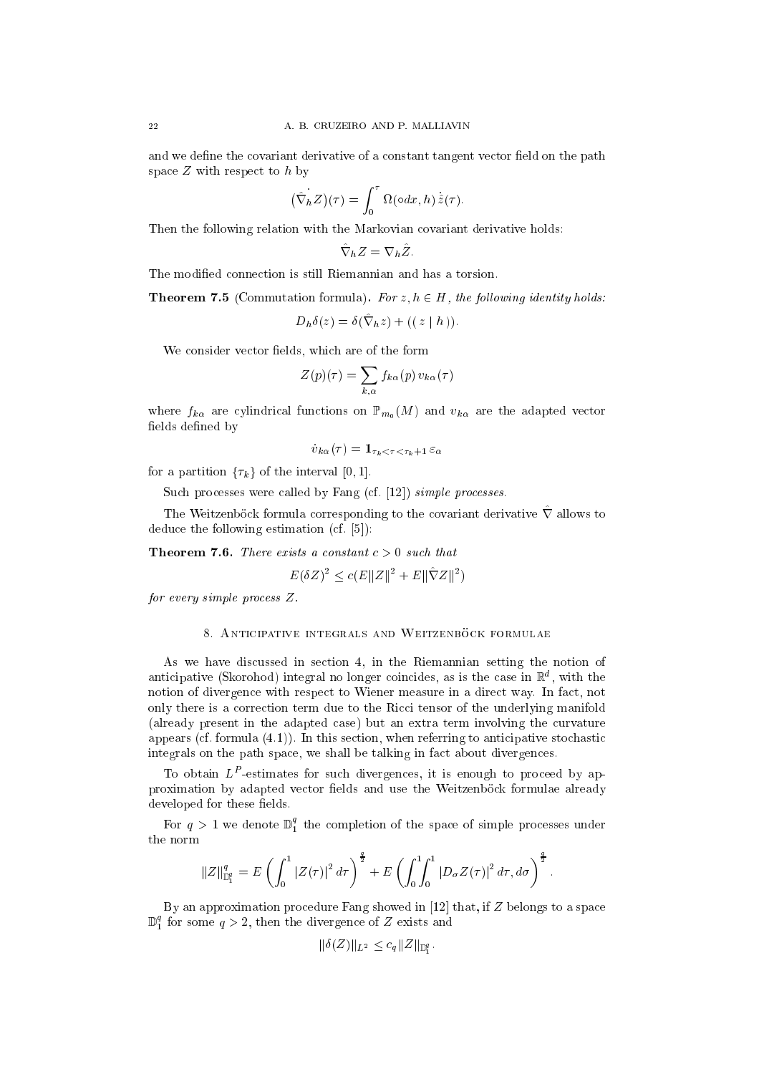and we define the covariant derivative of a constant tangent vector field on the path space  $Z$  with respect to  $h$  by

$$
\left(\hat{\nabla}_h Z\right)(\tau) = \int_0^{\tau} \Omega(\circ dx, h) \,\hat{z}(\tau).
$$

Then the following relation with the Markovian covariant derivative holds:

$$
\hat{\nabla}_h Z = \nabla_h \hat{Z}.
$$

The modified connection is still Riemannian and has a torsion.

**Theorem 7.5** (Commutation formula). For  $z, h \in H$ , the following identity holds:

$$
D_h \delta(z) = \delta(\nabla_h z) + ((z \mid h)).
$$

We consider vector fields, which are of the form

$$
Z(p)(\tau) = \sum_{k,\alpha} f_{k\alpha}(p) v_{k\alpha}(\tau)
$$

where  $f_{k\alpha}$  are cylindrical functions on  $\mathbb{P}_{m_0}(M)$  and  $v_{k\alpha}$  are the adapted vector fields defined by

$$
\dot{v}_{k\alpha}(\tau) = \mathbf{1}_{\tau_k < \tau < \tau_k + 1} \varepsilon_\alpha
$$

for a partition  $\{\tau_k\}$  of the interval [0, 1].

Such processes were called by Fang (cf. [12]) simple processes.

The Weitzenböck formula corresponding to the covariant derivative  $\hat{\nabla}$  allows to deduce the following estimation  $(cf. [5])$ :

**Theorem 7.6.** There exists a constant  $c > 0$  such that

$$
E(\delta Z)^2 \le c(E||Z||^2 + E||\hat{\nabla}Z||^2)
$$

for every simple process  $Z$ .

#### 8. ANTICIPATIVE INTEGRALS AND WEITZENBÖCK FORMULAE

As we have dis
ussed in se
tion 4, in the Riemannian setting the notion of anticipative (Skorohod) integral no longer coincides, as is the case in  $\mathbb R$  , with the notion of divergen
e with respe
t to Wiener measure in a dire
t way. In fa
t, not only there is a correction term due to the Ricci tensor of the underlying manifold (already present in the adapted ase) but an extra term involving the urvature appears (cf. formula  $(4.1)$ ). In this section, when referring to anticipative stochastic integrals on the path spa
e, we shall be talking in fa
t about divergen
es.

To obtain LP -estimates for su
h divergen
es, it is enough to pro
eed by approximation by adapted vector fields and use the Weitzenböck formulae already developed for these fields

For  $q > 1$  we denote  $\mathbb{D}_1^*$  the completion of the space of simple processes under the norm

$$
||Z||_{\mathbb{D}_{1}^{q}}^{q} = E\left(\int_{0}^{1} |Z(\tau)|^{2} d\tau\right)^{\frac{q}{2}} + E\left(\int_{0}^{1} \int_{0}^{1} |D_{\sigma} Z(\tau)|^{2} d\tau, d\sigma\right)^{\frac{q}{2}}
$$

By an approximation procedure Fang showed in  $[12]$  that, if  $Z$  belongs to a space  $\mathbb{D}^*_1$  for some  $q>z,$  then the divergence of  $z$  exists and

$$
\|\delta(Z)\|_{L^2} \le c_q \|Z\|_{\mathbb{D}_1^q}.
$$

 $\overline{\phantom{a}}$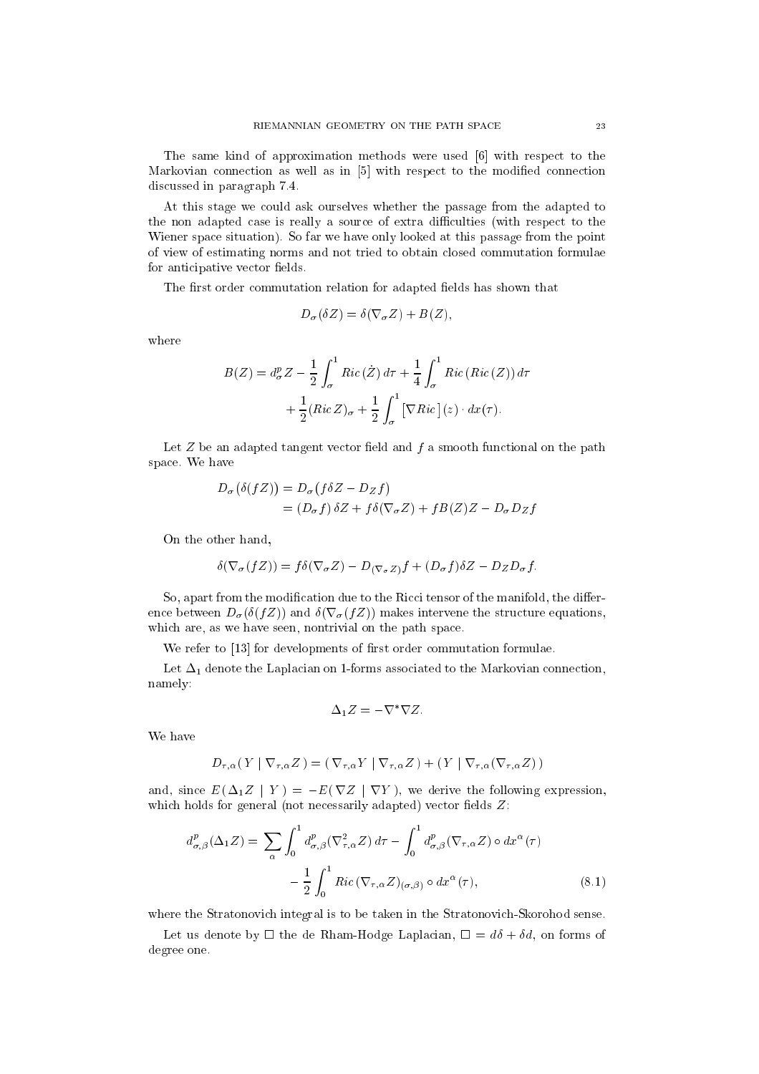The same kind of approximation methods were used  $[6]$  with respect to the Markovian connection as well as in  $[5]$  with respect to the modified connection dis
ussed in paragraph 7.4.

At this stage we ould ask ourselves whether the passage from the adapted to the non adapted case is really a source of extra difficulties (with respect to the Wiener spa
e situation). So far we have only looked at this passage from the point of view of estimating norms and not tried to obtain losed ommutation formulae for anticipative vector fields.

The first order commutation relation for adapted fields has shown that

$$
D_{\sigma}(\delta Z) = \delta(\nabla_{\sigma} Z) + B(Z),
$$

where

$$
B(Z) = d_{\sigma}^{p} Z - \frac{1}{2} \int_{\sigma}^{1} Ric(\dot{Z}) d\tau + \frac{1}{4} \int_{\sigma}^{1} Ric(Ric(Z)) d\tau
$$

$$
+ \frac{1}{2} (Ric Z)_{\sigma} + \frac{1}{2} \int_{\sigma}^{1} [\nabla Ric](z) \cdot dx(\tau).
$$

Let  $Z$  be an adapted tangent vector field and  $f$  a smooth functional on the path spa
e. We have

$$
D_{\sigma}(\delta(fZ)) = D_{\sigma}(f\delta Z - D_Zf)
$$
  
=  $(D_{\sigma}f)\delta Z + f\delta(\nabla_{\sigma}Z) + fB(Z)Z - D_{\sigma}D_Zf$ 

On the other hand,

$$
\delta(\nabla_{\sigma}(fZ)) = f\delta(\nabla_{\sigma}Z) - D_{(\nabla_{\sigma}Z)}f + (D_{\sigma}f)\delta Z - D_{Z}D_{\sigma}f.
$$

So, apart from the modification due to the Ricci tensor of the manifold, the difference between  $D_{\sigma}(\delta(fZ))$  and  $\delta(\nabla_{\sigma}(fZ))$  makes intervene the structure equations, which are, as we have seen, nontrivial on the path space.

We refer to [13] for developments of first order commutation formulae.

Let  $\Delta_1$  denote the Laplacian on 1-forms associated to the Markovian connection, namely:

$$
\Delta_1 Z = -\nabla^* \nabla Z.
$$

We have

$$
D_{\tau,\alpha}(Y | \nabla_{\tau,\alpha} Z) = (\nabla_{\tau,\alpha} Y | \nabla_{\tau,\alpha} Z) + (Y | \nabla_{\tau,\alpha} (\nabla_{\tau,\alpha} Z))
$$

and, since  $E(\Delta_1 Z | Y) = -E(\nabla Z | \nabla Y)$ , we derive the following expression, which holds for general (not necessarily adapted) vector fields  $Z$ :

$$
d_{\sigma,\beta}^{p}(\Delta_{1}Z) = \sum_{\alpha} \int_{0}^{1} d_{\sigma,\beta}^{p}(\nabla_{\tau,\alpha}^{2}Z) d\tau - \int_{0}^{1} d_{\sigma,\beta}^{p}(\nabla_{\tau,\alpha}Z) \circ dx^{\alpha}(\tau)
$$

$$
- \frac{1}{2} \int_{0}^{1} Ric \left(\nabla_{\tau,\alpha}Z\right)_{(\sigma,\beta)} \circ dx^{\alpha}(\tau), \tag{8.1}
$$

where the Stratonovich integral is to be taken in the Stratonovich-Skorohod sense.

Let us denote by  $\Box$  the de Rham-Hodge Laplacian,  $\Box = d\delta + \delta d$ , on forms of degree one.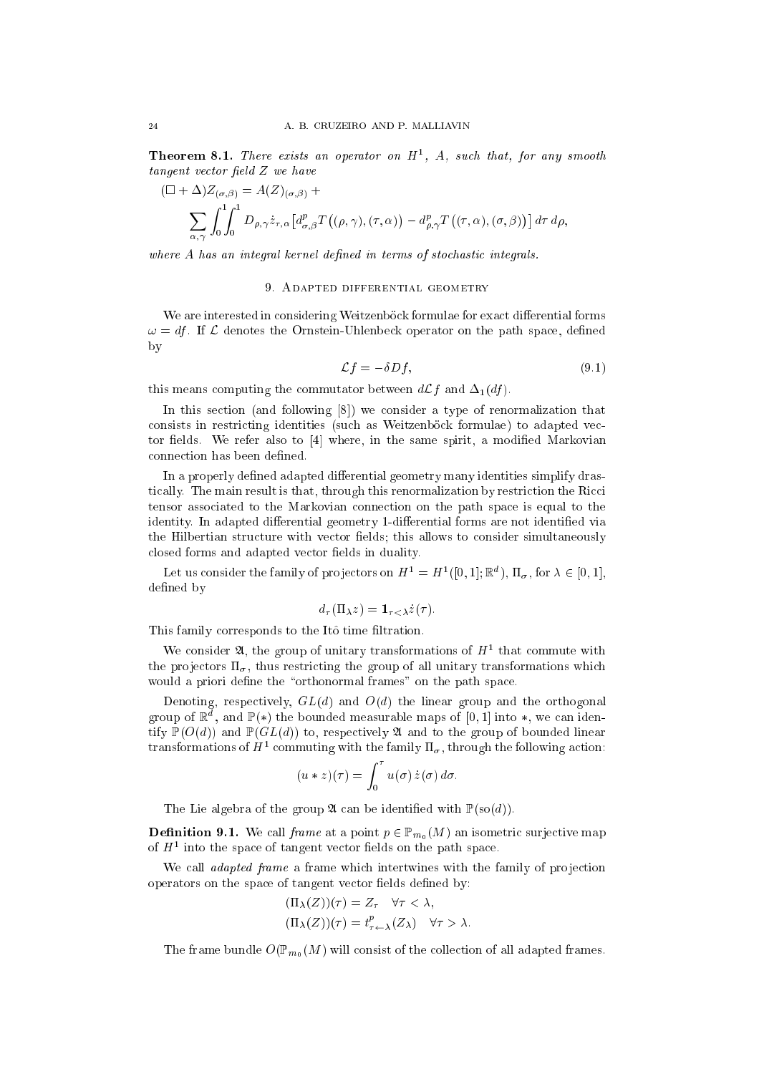**Theorem 8.1.** There exists an operator on  $H<sup>1</sup>$ , A, such that, for any smooth  $tangent$  vector field  $Z$  we have

$$
(\Box + \Delta) Z_{(\sigma,\beta)} = A(Z)_{(\sigma,\beta)} +
$$
  

$$
\sum_{\alpha,\gamma} \int_0^1 \int_0^1 D_{\rho,\gamma} \dot{z}_{\tau,\alpha} \left[ d^p_{\sigma,\beta} T(\rho,\gamma), (\tau,\alpha) \right] - d^p_{\rho,\gamma} T(\tau,\alpha), (\sigma,\beta)) d\tau d\rho,
$$

where A has an integral kernel defined in terms of stochastic integrals.

## 9. Adapted differential geometry

We are interested in considering Weitzenböck formulae for exact differential forms  $\omega = df$ . If  $\mathcal L$  denotes the Ornstein-Uhlenbeck operator on the path space, defined by

$$
\mathcal{L}f = -\delta Df,\tag{9.1}
$$

this means computing the commutator between  $d\mathcal{L}f$  and  $\Delta_1(df)$ .

In this section (and following [8]) we consider a type of renormalization that consists in restricting identities (such as Weitzenböck formulae) to adapted vector fields. We refer also to  $[4]$  where, in the same spirit, a modified Markovian connection has been defined.

In a properly defined adapted differential geometry many identities simplify drastically. The main result is that, through this renormalization by restriction the Ricci tensor asso
iated to the Markovian onne
tion on the path spa
e is equal to the identity. In adapted differential geometry 1-differential forms are not identified via the Hilbertian structure with vector fields; this allows to consider simultaneously closed forms and adapted vector fields in duality.

Let us consider the family of projectors on  $H^1 = H^1([0,1];\mathbb{R}^d)$ ,  $\Pi_{\sigma}$ , for  $\lambda \in [0,1]$ , defined by

$$
d_{\tau}(\Pi_{\lambda}z) = \mathbf{1}_{\tau < \lambda}\dot{z}(\tau).
$$

This family corresponds to the Itô time filtration.

We consider  $\mathfrak{A}$ , the group of unitary transformations of  $H^1$  that commute with the projectors  $\Pi_{\sigma}$ , thus restricting the group of all unitary transformations which would a priori define the "orthonormal frames" on the path space.

Denoting, respectively,  $GL(d)$  and  $O(d)$  the linear group and the orthogonal group of  $\mathbb R$  , and  $\mathbb F(*)$  the bounded measurable maps of  $[0,1]$  into  $\ast$ , we can identify  $\mathbb{P}(O(d))$  and  $\mathbb{P}(GL(d))$  to, respectively  $\mathfrak A$  and to the group of bounded linear transformations of  $H^1$  commuting with the family  $\Pi_{\sigma}$ , through the following action:

$$
(u * z)(\tau) = \int_0^{\tau} u(\sigma) \dot{z}(\sigma) d\sigma.
$$

The Lie algebra of the group  $\mathfrak{A}$  can be identified with  $\mathbb{P}(\text{so}(d))$ .

**Definition 9.1.** We call *frame* at a point  $p \in \mathbb{P}_{m_0}(M)$  an isometric surjective map of  $H<sup>1</sup>$  into the space of tangent vector fields on the path space.

We call *adapted frame* a frame which intertwines with the family of projection operators on the space of tangent vector fields defined by:

$$
\begin{aligned} (\Pi_{\lambda}(Z))(\tau) &= Z_{\tau} \quad \forall \tau < \lambda, \\ (\Pi_{\lambda}(Z))(\tau) &= t_{\tau \leftarrow \lambda}^p(Z_{\lambda}) \quad \forall \tau > \lambda. \end{aligned}
$$

The frame bundle  $O(\mathbb{P}_{m_0}(M))$  will consist of the collection of all adapted frames.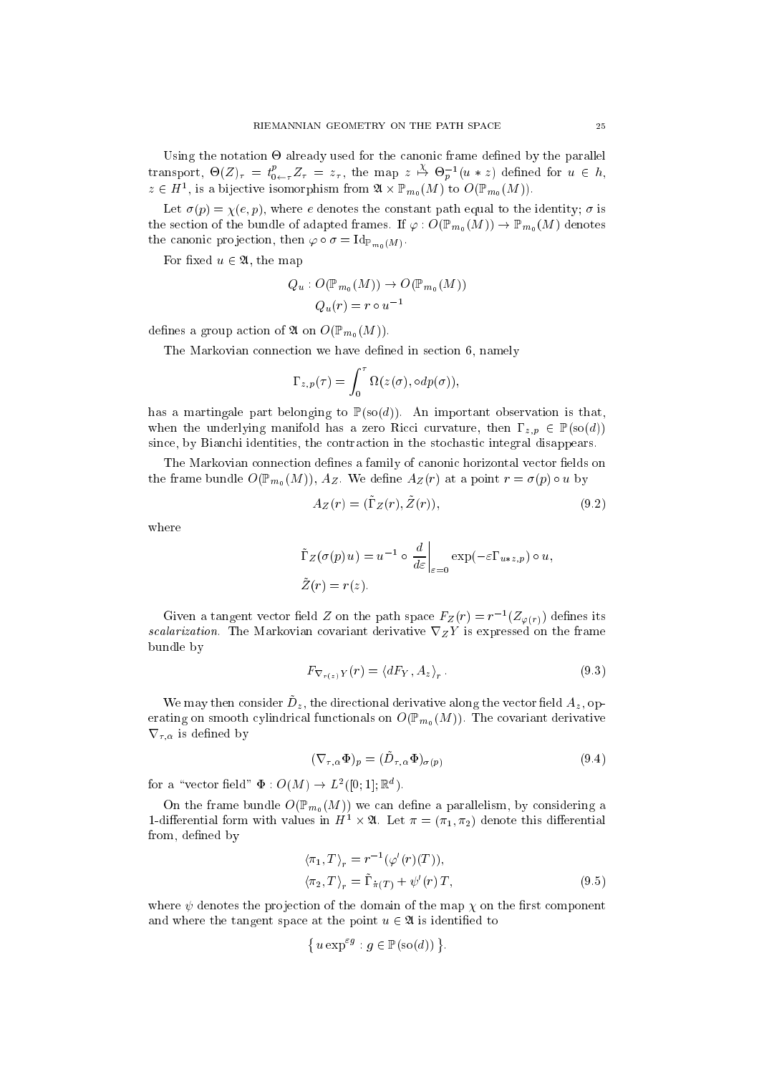Using the notation - already used for the anoni frame dened by the parallel transport,  $\Theta(Z)_{\tau} = t^p_{0 \leftarrow \tau} Z_{\tau} = z_{\tau}$ , the map  $z \stackrel{X}{\rightarrow} \Theta_p^{-1}(u * z)$  defined for  $u \in h$ ,  $z \in H^1$ , is a bijective isomorphism from  $\mathfrak{A} \times \mathbb{P}_{m_0}(M)$  to  $O(\mathbb{P}_{m_0}(M))$ .

Let  $\sigma(p) = \chi(e, p)$ , where e denotes the constant path equal to the identity;  $\sigma$  is the section of the bundle of adapted frames. If  $\varphi: O(\mathbb{P}_{m_0}(M)) \to \mathbb{P}_{m_0}(M)$  denotes the canonic projection, then  $\varphi \circ \sigma = \mathrm{Id}_{\mathbb{P}_{m_0}(M)}$ .

For fixed  $u \in \mathfrak{A}$ , the map

$$
Q_u: O(\mathbb{P}_{m_0}(M)) \to O(\mathbb{P}_{m_0}(M))
$$
  

$$
Q_u(r) = r \circ u^{-1}
$$

defines a group action of  $\mathfrak{A}$  on  $O(\mathbb{P}_{m_0}(M))$ .

The Markovian connection we have defined in section 6, namely

$$
\Gamma_{z,p}(\tau) = \int_0^{\tau} \Omega(z(\sigma), \circ dp(\sigma)),
$$

has a martingale part belonging to  $\mathbb{P}(\text{so}(d))$ . An important observation is that, when the underlying manifold has a zero Ricci curvature, then  $\Gamma_{z,p} \in \mathbb{P}(\text{so}(d))$ since, by Bianchi identities, the contraction in the stochastic integral disappears.

The Markovian connection defines a family of canonic horizontal vector fields on the frame bundle  $O(\mathbb{P}_{m_0}(M))$ ,  $A_Z$ . We define  $A_Z(r)$  at a point  $r = \sigma(p) \circ u$  by

$$
A_Z(r) = (\tilde{\Gamma}_Z(r), \tilde{Z}(r)),\tag{9.2}
$$

where

$$
\tilde{\Gamma}_Z(\sigma(p) u) = u^{-1} \circ \frac{d}{d\varepsilon}\Big|_{\varepsilon=0} \exp(-\varepsilon \Gamma_{u \ast z, p}) \circ u,
$$
  

$$
\tilde{Z}(r) = r(z).
$$

Given a tangent vector field  $Z$  on the path space  $F_Z(r) = r^{-1}(Z_{\varphi(r)})$  defines its scalarization. The Markovian covariant derivative  $\nabla_Z Y$  is expressed on the frame bundle by

$$
F_{\nabla_{r(z)}Y}(r) = \langle dF_Y, A_z \rangle_r. \tag{9.3}
$$

We may then consider  $D_z$ , the directional derivative along the vector field  $A_z$ ,  $\sigma p$ erating on smooth cylindrical functionals on  $O(\mathbb{P}_{m_0}(M))$ . The covariant derivative  $\nabla_{\tau,\alpha}$  is defined by

$$
(\nabla_{\tau,\alpha} \Phi)_p = (\tilde{D}_{\tau,\alpha} \Phi)_{\sigma(p)} \tag{9.4}
$$

for a "vector field"  $\Phi: O(M) \to L^2([0; 1]; \mathbb{R}^d)$ .

On the frame bundle  $O(\mathbb{P}_{m_0}(M))$  we can define a parallelism, by considering a 1-differential form with values in  $H^1 \times \mathfrak{A}$ . Let  $\pi = (\pi_1, \pi_2)$  denote this differential from, defined by

$$
\langle \pi_1, T \rangle_r = r^{-1} (\varphi'(r)(T)),
$$
  

$$
\langle \pi_2, T \rangle_r = \tilde{\Gamma}_{\pi(T)} + \psi'(r) T,
$$
 (9.5)

where  $\psi$  denotes the projection of the domain of the map  $\chi$  on the first component and where the tangent space at the point  $u \in \mathfrak{A}$  is identified to

$$
\{ u \exp^{\varepsilon g} : g \in \mathbb{P}(\text{so}(d)) \}.
$$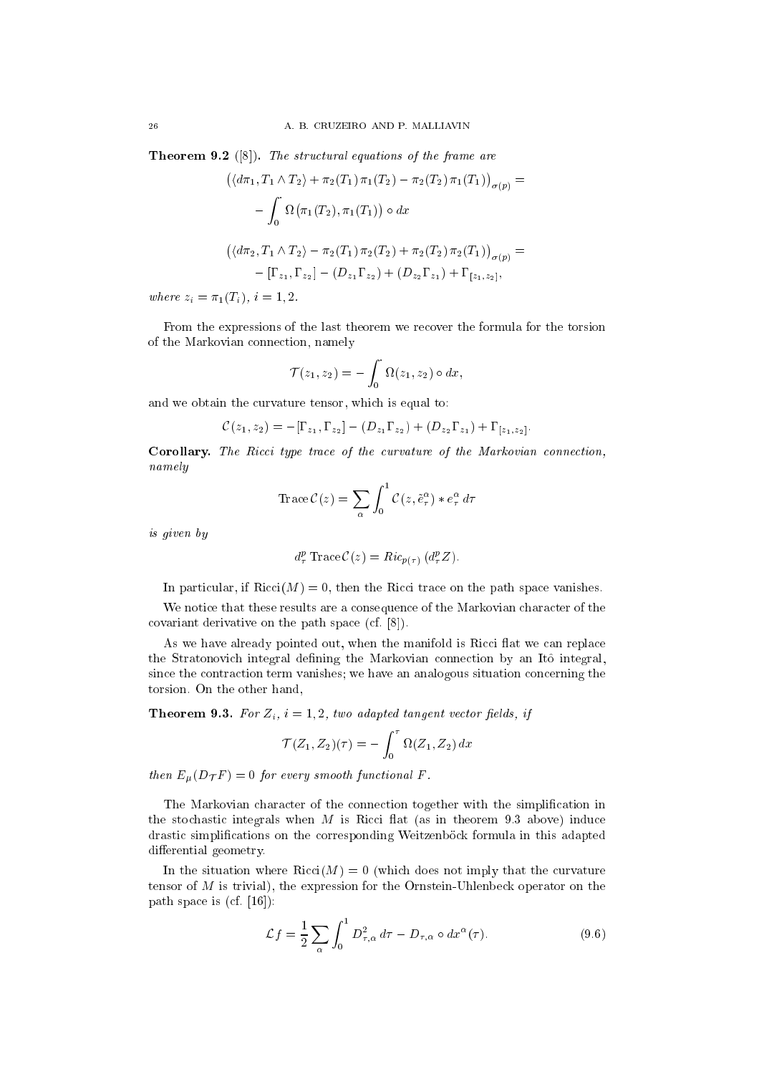**Theorem 9.2** ([8]). The structural equations of the frame are

$$
\left(\langle d\pi_1, T_1 \wedge T_2 \rangle + \pi_2(T_1) \pi_1(T_2) - \pi_2(T_2) \pi_1(T_1) \right)_{\sigma(p)} =
$$
  

$$
- \int_0^{\cdot} \Omega(\pi_1(T_2), \pi_1(T_1)) \circ dx
$$
  

$$
\left(\langle d\pi_2, T_1 \wedge T_2 \rangle - \pi_2(T_1) \pi_2(T_2) + \pi_2(T_2) \pi_2(T_1) \right)_{\sigma(p)} =
$$
  

$$
- [\Gamma_{z_1}, \Gamma_{z_2}] - (D_{z_1} \Gamma_{z_2}) + (D_{z_2} \Gamma_{z_1}) + \Gamma_{[z_1, z_2]},
$$

where  $z_i = \pi_1(T_i), i = 1, 2$ .

From the expressions of the last theorem we recover the formula for the torsion of the Markovian onne
tion, namely

$$
\mathcal{T}(z_1, z_2) = -\int_0^{\cdot} \Omega(z_1, z_2) \circ dx,
$$

and we obtain the urvature tensor, whi
h is equal to:

$$
\mathcal{C}(z_1, z_2) = -[\Gamma_{z_1}, \Gamma_{z_2}] - (D_{z_1} \Gamma_{z_2}) + (D_{z_2} \Gamma_{z_1}) + \Gamma_{[z_1, z_2]}.
$$

Corollary. The Ricci type trace of the curvature of the Markovian connection, namely

Trace
$$
C(z) = \sum_{\alpha} \int_0^1 C(z, \tilde{e}_{\tau}^{\alpha}) * e_{\tau}^{\alpha} d\tau
$$

is given by

$$
d^p_\tau \operatorname{Trace} C(z) = Ric_{p(\tau)} (d^p_\tau Z).
$$

In particular, if  $Ricci(M) = 0$ , then the Ricci trace on the path space vanishes.

We notice that these results are a consequence of the Markovian character of the covariant derivative on the path space  $(cf. [8])$ .

As we have already pointed out, when the manifold is Ricci flat we can replace the Stratonovich integral defining the Markovian connection by an Itô integral, since the contraction term vanishes; we have an analogous situation concerning the torsion. On the other hand,

**Theorem 9.3.** For  $Z_i$ ,  $i = 1, 2$ , two adapted tangent vector fields, if

$$
\mathcal{T}(Z_1, Z_2)(\tau) = -\int_0^{\tau} \Omega(Z_1, Z_2) dx
$$

then  $E_{\mu}(D_{\mathcal{T}}F) = 0$  for every smooth functional F.

The Markovian character of the connection together with the simplification in the stochastic integrals when  $M$  is Ricci flat (as in theorem 9.3 above) induce drastic simplifications on the corresponding Weitzenböck formula in this adapted differential geometry.

In the situation where  $Ricci(M) = 0$  (which does not imply that the curvature tensor of M is trivial), the expression for the Ornstein-Uhlenbe
k operator on the path space is  $(cf. [16])$ :

$$
\mathcal{L}f = \frac{1}{2} \sum_{\alpha} \int_0^1 D_{\tau,\alpha}^2 d\tau - D_{\tau,\alpha} \circ dx^{\alpha}(\tau). \tag{9.6}
$$